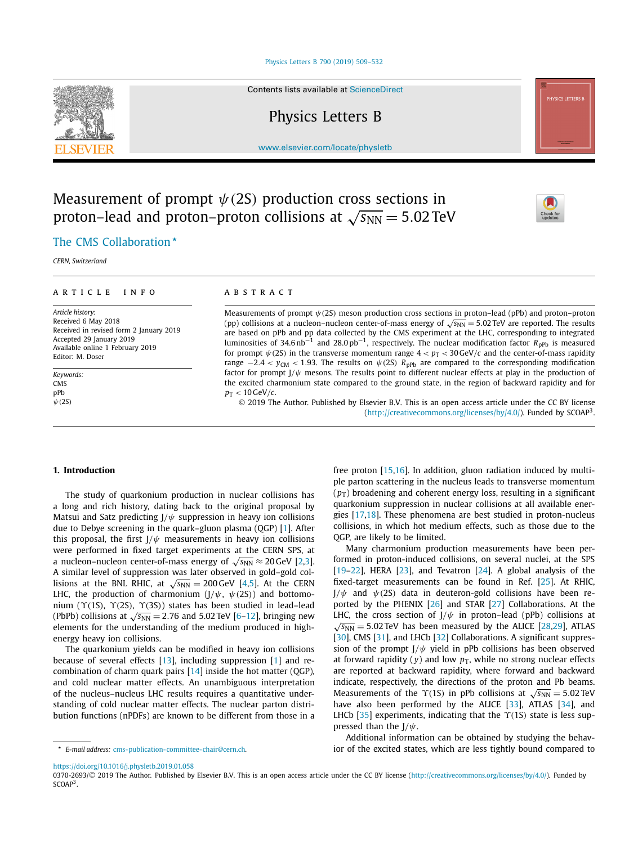#### [Physics Letters B 790 \(2019\) 509–532](https://doi.org/10.1016/j.physletb.2019.01.058)

Contents lists available at [ScienceDirect](http://www.ScienceDirect.com/)

Physics Letters B

[www.elsevier.com/locate/physletb](http://www.elsevier.com/locate/physletb)



# Measurement of prompt *ψ(*2S*)* production cross sections in proton–lead and proton–proton collisions at  $\sqrt{s_{NN}}$  = 5.02 TeV

# The CMS [Collaboration](#page-7-0)\*

*CERN, Switzerland*

#### A R T I C L E I N F O A B S T R A C T

*Article history:* Received 6 May 2018 Received in revised form 2 January 2019 Accepted 29 January 2019 Available online 1 February 2019 Editor: M. Doser

*Keywords:* CMS pPb *ψ(*2S*)*

Measurements of prompt *ψ(*2S*)* meson production cross sections in proton–lead (pPb) and proton–proton (pp) collisions at a nucleon–nucleon center-of-mass energy of  $\sqrt{s_{NN}}$  = 5.02 TeV are reported. The results are based on pPb and pp data collected by the CMS experiment at the LHC, corresponding to integrated luminosities of 34.6 nb<sup>-1</sup> and 28.0 pb<sup>-1</sup>, respectively. The nuclear modification factor *R*<sub>pPb</sub> is measured for prompt  $\psi$ (2S) in the transverse momentum range  $4 < p_T < 30$  GeV/c and the center-of-mass rapidity range −2*.*4 *< y*CM *<* 1*.*93. The results on *ψ(*2S*) R*pPb are compared to the corresponding modification factor for prompt J*/ψ* mesons. The results point to different nuclear effects at play in the production of the excited charmonium state compared to the ground state, in the region of backward rapidity and for  $p_T < 10$  GeV/ $c$ .

© 2019 The Author. Published by Elsevier B.V. This is an open access article under the CC BY license [\(http://creativecommons.org/licenses/by/4.0/\)](http://creativecommons.org/licenses/by/4.0/). Funded by SCOAP3.

#### **1. Introduction**

The study of quarkonium production in nuclear collisions has a long and rich history, dating back to the original proposal by Matsui and Satz predicting J*/ψ* suppression in heavy ion collisions due to Debye screening in the quark–gluon plasma (QGP) [\[1\]](#page-6-0). After this proposal, the first  $J/\psi$  measurements in heavy ion collisions were performed in fixed target experiments at the CERN SPS, at a nucleon–nucleon center-of-mass energy of  $\sqrt{s_{NN}} \approx 20$  GeV [\[2,3\]](#page-6-0). A similar level of suppression was later observed in gold–gold collisions at the BNL RHIC, at  $\sqrt{s_{NN}} = 200 \,\text{GeV}$  [\[4,5\]](#page-6-0). At the CERN LHC, the production of charmonium  $(J/\psi, \psi(2S))$  and bottomonium (*ϒ(*1S*)*, *ϒ(*2S*)*, *ϒ(*3S*)*) states has been studied in lead–lead (PbPb) collisions at  $\sqrt{s_{NN}}$  = 2.76 and 5.02 TeV [\[6–12\]](#page-6-0), bringing new elements for the understanding of the medium produced in highenergy heavy ion collisions.

The quarkonium yields can be modified in heavy ion collisions because of several effects [\[13\]](#page-6-0), including suppression [\[1\]](#page-6-0) and recombination of charm quark pairs [\[14\]](#page-6-0) inside the hot matter (QGP), and cold nuclear matter effects. An unambiguous interpretation of the nucleus–nucleus LHC results requires a quantitative understanding of cold nuclear matter effects. The nuclear parton distribution functions (nPDFs) are known to be different from those in a free proton [\[15,16\]](#page-6-0). In addition, gluon radiation induced by multiple parton scattering in the nucleus leads to transverse momentum  $(p_T)$  broadening and coherent energy loss, resulting in a significant quarkonium suppression in nuclear collisions at all available energies [\[17,18\]](#page-6-0). These phenomena are best studied in proton-nucleus collisions, in which hot medium effects, such as those due to the QGP, are likely to be limited.

Many charmonium production measurements have been performed in proton-induced collisions, on several nuclei, at the SPS  $[19-22]$ , HERA  $[23]$ , and Tevatron  $[24]$ . A global analysis of the fixed-target measurements can be found in Ref. [\[25\]](#page-6-0). At RHIC, J*/ψ* and *ψ(*2S*)* data in deuteron-gold collisions have been reported by the PHENIX [\[26\]](#page-6-0) and STAR [\[27\]](#page-7-0) Collaborations. At the LHC, the cross section of  $J/\psi$  in proton–lead (pPb) collisions at  $\sqrt{s_{NN}}$  = 5.02 TeV has been measured by the ALICE [\[28,29\]](#page-7-0), ATLAS [\[30\]](#page-7-0), CMS [\[31\]](#page-7-0), and LHCb [\[32\]](#page-7-0) Collaborations. A significant suppression of the prompt  $J/\psi$  yield in pPb collisions has been observed at forward rapidity  $(y)$  and low  $p<sub>T</sub>$ , while no strong nuclear effects are reported at backward rapidity, where forward and backward indicate, respectively, the directions of the proton and Pb beams. Measurements of the  $\Upsilon(1S)$  in pPb collisions at  $\sqrt{s_{NN}} = 5.02$  TeV have also been performed by the ALICE [\[33\]](#page-7-0), ATLAS [\[34\]](#page-7-0), and LHCb [\[35\]](#page-7-0) experiments, indicating that the *ϒ(*1S*)* state is less suppressed than the J*/ψ*.

Additional information can be obtained by studying the behavior of the excited states, which are less tightly bound compared to

*E-mail address:* [cms-publication-committee-chair@cern.ch.](mailto:cms-publication-committee-chair@cern.ch)

<https://doi.org/10.1016/j.physletb.2019.01.058>

<sup>0370-2693/© 2019</sup> The Author. Published by Elsevier B.V. This is an open access article under the CC BY license [\(http://creativecommons.org/licenses/by/4.0/](http://creativecommons.org/licenses/by/4.0/)). Funded by SCOAP<sup>3</sup>.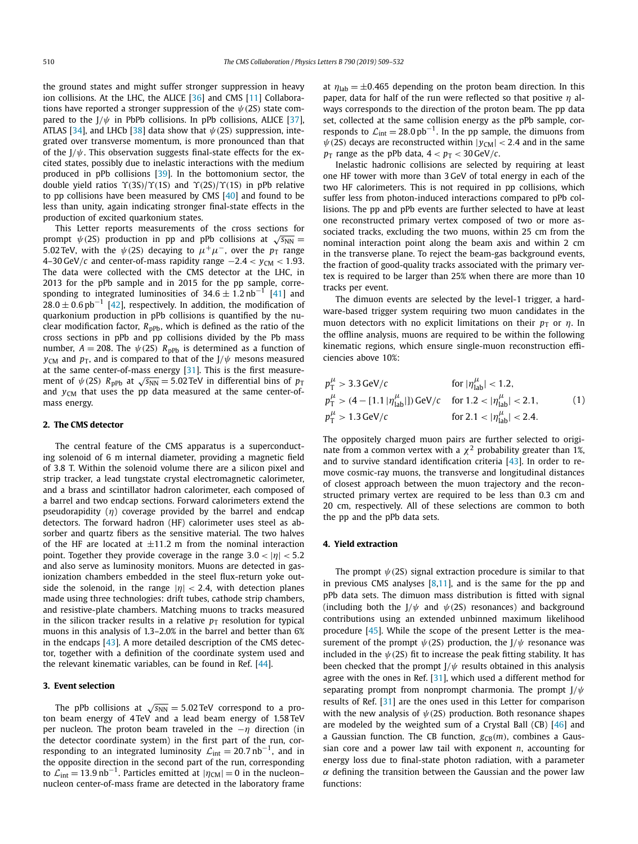<span id="page-1-0"></span>the ground states and might suffer stronger suppression in heavy ion collisions. At the LHC, the ALICE [\[36\]](#page-7-0) and CMS [\[11\]](#page-6-0) Collaborations have reported a stronger suppression of the *ψ(*2S*)* state compared to the  $J/\psi$  in PbPb collisions. In pPb collisions, ALICE [\[37\]](#page-7-0), ATLAS [\[34\]](#page-7-0), and LHCb [\[38\]](#page-7-0) data show that  $\psi$  (2S) suppression, integrated over transverse momentum, is more pronounced than that of the  $J/\psi$ . This observation suggests final-state effects for the excited states, possibly due to inelastic interactions with the medium produced in pPb collisions [\[39\]](#page-7-0). In the bottomonium sector, the double yield ratios *ϒ(*3S*)*/*ϒ(*1S*)* and *ϒ(*2S*)*/*ϒ(*1S*)* in pPb relative to pp collisions have been measured by CMS [\[40\]](#page-7-0) and found to be less than unity, again indicating stronger final-state effects in the production of excited quarkonium states.

This Letter reports measurements of the cross sections for prompt  $\psi$ (2S) production in pp and pPb collisions at  $\sqrt{s_{NN}}$  = 5.02 TeV, with the  $\psi$ (2S) decaying to  $\mu^+\mu^-$ , over the  $p_T$  range 4–30 GeV/*c* and center-of-mass rapidity range  $-2.4 < y_{CM} < 1.93$ . The data were collected with the CMS detector at the LHC, in 2013 for the pPb sample and in 2015 for the pp sample, corresponding to integrated luminosities of  $34.6 \pm 1.2$  nb<sup>-1</sup> [\[41\]](#page-7-0) and  $28.0 \pm 0.6$  pb<sup>-1</sup> [\[42\]](#page-7-0), respectively. In addition, the modification of quarkonium production in pPb collisions is quantified by the nuclear modification factor,  $R_{\text{pPb}}$ , which is defined as the ratio of the cross sections in pPb and pp collisions divided by the Pb mass number,  $A = 208$ . The  $\psi$ (2S)  $R_{\text{pPb}}$  is determined as a function of *y*<sub>CM</sub> and *p*<sub>T</sub>, and is compared to that of the *J/ψ* mesons measured at the same center-of-mass energy [\[31\]](#page-7-0). This is the first measurement of  $\psi$ (2S)  $R_{\text{pPb}}$  at  $\sqrt{s_{NN}}$  = 5.02 TeV in differential bins of  $p_{\text{T}}$ and  $y_{CM}$  that uses the pp data measured at the same center-ofmass energy.

#### **2. The CMS detector**

The central feature of the CMS apparatus is a superconducting solenoid of 6 m internal diameter, providing a magnetic field of 3.8 T. Within the solenoid volume there are a silicon pixel and strip tracker, a lead tungstate crystal electromagnetic calorimeter, and a brass and scintillator hadron calorimeter, each composed of a barrel and two endcap sections. Forward calorimeters extend the pseudorapidity (*η*) coverage provided by the barrel and endcap detectors. The forward hadron (HF) calorimeter uses steel as absorber and quartz fibers as the sensitive material. The two halves of the HF are located at ±11*.*2 m from the nominal interaction point. Together they provide coverage in the range  $3.0 < |\eta| < 5.2$ and also serve as luminosity monitors. Muons are detected in gasionization chambers embedded in the steel flux-return yoke outside the solenoid, in the range  $|\eta|$  < 2.4, with detection planes made using three technologies: drift tubes, cathode strip chambers, and resistive-plate chambers. Matching muons to tracks measured in the silicon tracker results in a relative  $p<sub>T</sub>$  resolution for typical muons in this analysis of 1.3–2.0% in the barrel and better than 6% in the endcaps [\[43\]](#page-7-0). A more detailed description of the CMS detector, together with a definition of the coordinate system used and the relevant kinematic variables, can be found in Ref. [\[44\]](#page-7-0).

#### **3. Event selection**

The pPb collisions at  $\sqrt{s_{NN}} = 5.02$  TeV correspond to a proton beam energy of 4 TeV and a lead beam energy of 1.58 TeV per nucleon. The proton beam traveled in the −*η* direction (in the detector coordinate system) in the first part of the run, corresponding to an integrated luminosity  $\mathcal{L}_{int} = 20.7 \text{ nb}^{-1}$ , and in the opposite direction in the second part of the run, corresponding to  $\mathcal{L}_{int} = 13.9 \text{ nb}^{-1}$ . Particles emitted at  $|\eta_{CM}| = 0$  in the nucleon– nucleon center-of-mass frame are detected in the laboratory frame

at  $\eta_{\text{lab}} = \pm 0.465$  depending on the proton beam direction. In this paper, data for half of the run were reflected so that positive *η* always corresponds to the direction of the proton beam. The pp data set, collected at the same collision energy as the pPb sample, corresponds to  $\mathcal{L}_{int} = 28.0 \text{ pb}^{-1}$ . In the pp sample, the dimuons from  $\psi$ (2S) decays are reconstructed within  $|y_{CM}| < 2.4$  and in the same *p*<sub>T</sub> range as the pPb data,  $4 < p_T < 30$  GeV/*c*.

Inelastic hadronic collisions are selected by requiring at least one HF tower with more than 3 GeV of total energy in each of the two HF calorimeters. This is not required in pp collisions, which suffer less from photon-induced interactions compared to pPb collisions. The pp and pPb events are further selected to have at least one reconstructed primary vertex composed of two or more associated tracks, excluding the two muons, within 25 cm from the nominal interaction point along the beam axis and within 2 cm in the transverse plane. To reject the beam-gas background events, the fraction of good-quality tracks associated with the primary vertex is required to be larger than 25% when there are more than 10 tracks per event.

The dimuon events are selected by the level-1 trigger, a hardware-based trigger system requiring two muon candidates in the muon detectors with no explicit limitations on their  $p<sub>T</sub>$  or *η*. In the offline analysis, muons are required to be within the following kinematic regions, which ensure single-muon reconstruction efficiencies above 10%:

$$
p_T^{\mu} > 3.3 \,\text{GeV}/c \qquad \text{for } |\eta_{\text{lab}}^{\mu}| < 1.2,
$$
  
\n
$$
p_T^{\mu} > (4 - [1.1 | \eta_{\text{lab}}^{\mu}|]) \,\text{GeV}/c \qquad \text{for } 1.2 < |\eta_{\text{lab}}^{\mu}| < 2.1,
$$
  
\n
$$
p_T^{\mu} > 1.3 \,\text{GeV}/c \qquad \text{for } 2.1 < |\eta_{\text{lab}}^{\mu}| < 2.4.
$$
 (1)

The oppositely charged muon pairs are further selected to originate from a common vertex with a  $\chi^2$  probability greater than 1%, and to survive standard identification criteria  $[43]$ . In order to remove cosmic-ray muons, the transverse and longitudinal distances of closest approach between the muon trajectory and the reconstructed primary vertex are required to be less than 0.3 cm and 20 cm, respectively. All of these selections are common to both the pp and the pPb data sets.

#### **4. Yield extraction**

The prompt  $\psi$  (2S) signal extraction procedure is similar to that in previous CMS analyses  $[8,11]$ , and is the same for the pp and pPb data sets. The dimuon mass distribution is fitted with signal (including both the J*/ψ* and *ψ(*2S*)* resonances) and background contributions using an extended unbinned maximum likelihood procedure [\[45\]](#page-7-0). While the scope of the present Letter is the measurement of the prompt  $\psi$  (2S) production, the J/ $\psi$  resonance was included in the  $\psi$ (2S) fit to increase the peak fitting stability. It has been checked that the prompt  $J/\psi$  results obtained in this analysis agree with the ones in Ref.  $[31]$ , which used a different method for separating prompt from nonprompt charmonia. The prompt J*/ψ* results of Ref. [\[31\]](#page-7-0) are the ones used in this Letter for comparison with the new analysis of  $\psi$ (2S) production. Both resonance shapes are modeled by the weighted sum of a Crystal Ball (CB) [\[46\]](#page-7-0) and a Gaussian function. The CB function,  $g_{CB}(m)$ , combines a Gaussian core and a power law tail with exponent *n*, accounting for energy loss due to final-state photon radiation, with a parameter *α* defining the transition between the Gaussian and the power law functions: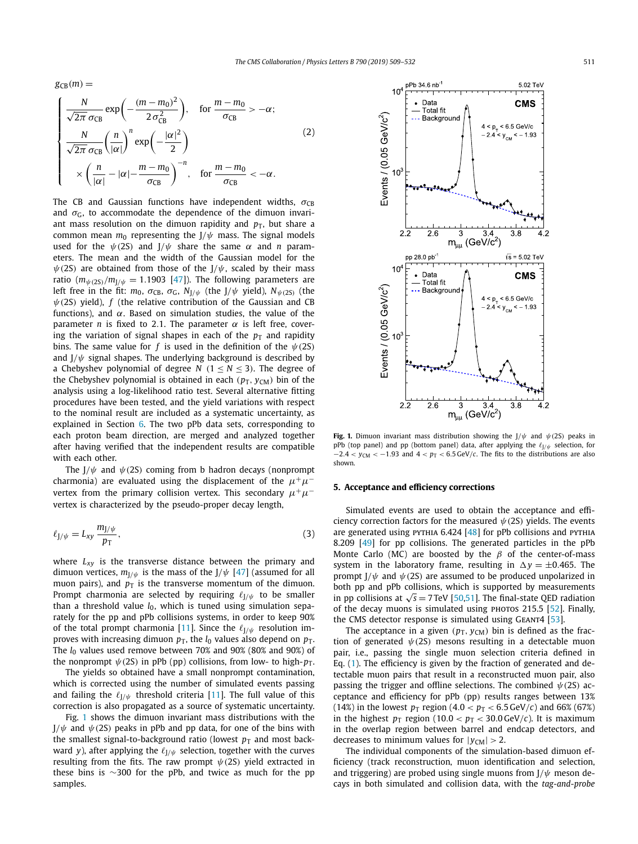<span id="page-2-0"></span> $g_{CB}(m) =$ 

$$
\begin{cases}\n\frac{N}{\sqrt{2\pi} \sigma_{CB}} \exp\left(-\frac{(m-m_0)^2}{2 \sigma_{CB}^2}\right), & \text{for } \frac{m-m_0}{\sigma_{CB}} > -\alpha; \\
\frac{N}{\sqrt{2\pi} \sigma_{CB}} \left(\frac{n}{|\alpha|}\right)^n \exp\left(-\frac{|\alpha|^2}{2}\right) & (\frac{2}{\sqrt{2\pi} \sigma_{CB}}\right)^{-n}, & \text{for } \frac{m-m_0}{\sigma_{CB}} < -\alpha.\n\end{cases}
$$

The CB and Gaussian functions have independent widths,  $\sigma_{CR}$ and  $\sigma$ <sub>G</sub>, to accommodate the dependence of the dimuon invariant mass resolution on the dimuon rapidity and  $p<sub>T</sub>$ , but share a common mean  $m_0$  representing the  $J/\psi$  mass. The signal models used for the  $\psi$ (2S) and J/ $\psi$  share the same  $\alpha$  and *n* parameters. The mean and the width of the Gaussian model for the  $\psi$ (2S) are obtained from those of the J/ $\psi$ , scaled by their mass ratio  $(m_{\psi(2S)}/m_{J/\psi} = 1.1903$  [\[47\]](#page-7-0)). The following parameters are left free in the fit:  $m_0$ ,  $\sigma_{CB}$ ,  $\sigma_G$ ,  $N_{1/\psi}$  (the J/ $\psi$  yield),  $N_{\psi(2S)}$  (the *ψ(*2S*)* yield), *f* (the relative contribution of the Gaussian and CB functions), and  $\alpha$ . Based on simulation studies, the value of the parameter *n* is fixed to 2.1. The parameter  $\alpha$  is left free, covering the variation of signal shapes in each of the  $p<sub>T</sub>$  and rapidity bins. The same value for *f* is used in the definition of the  $\psi$ (2S) and  $J/\psi$  signal shapes. The underlying background is described by a Chebyshev polynomial of degree *N*  $(1 \leq N \leq 3)$ . The degree of the Chebyshev polynomial is obtained in each  $(p_T, y_{CM})$  bin of the analysis using a log-likelihood ratio test. Several alternative fitting procedures have been tested, and the yield variations with respect to the nominal result are included as a systematic uncertainty, as explained in Section [6.](#page-3-0) The two pPb data sets, corresponding to each proton beam direction, are merged and analyzed together after having verified that the independent results are compatible with each other.

The  $J/\psi$  and  $\psi$ (2S) coming from b hadron decays (nonprompt charmonia) are evaluated using the displacement of the  $\mu^+\mu^$ vertex from the primary collision vertex. This secondary  $\mu^+ \mu^$ vertex is characterized by the pseudo-proper decay length,

$$
\ell_{J/\psi} = L_{xy} \frac{m_{J/\psi}}{p_{\rm T}},\tag{3}
$$

where *Lxy* is the transverse distance between the primary and dimuon vertices,  $m_{1/\psi}$  is the mass of the  $J/\psi$  [\[47\]](#page-7-0) (assumed for all muon pairs), and  $p<sub>T</sub>$  is the transverse momentum of the dimuon. Prompt charmonia are selected by requiring <sup>J</sup>*/ψ* to be smaller than a threshold value *l*<sub>0</sub>, which is tuned using simulation separately for the pp and pPb collisions systems, in order to keep 90% of the total prompt charmonia [\[11\]](#page-6-0). Since the <sup>J</sup>*/ψ* resolution improves with increasing dimuon  $p<sub>T</sub>$ , the  $l<sub>0</sub>$  values also depend on  $p<sub>T</sub>$ . The *l*<sub>0</sub> values used remove between 70% and 90% (80% and 90%) of the nonprompt  $\psi$ (2S) in pPb (pp) collisions, from low- to high- $p_T$ .

The yields so obtained have a small nonprompt contamination, which is corrected using the number of simulated events passing and failing the <sup>J</sup>*/ψ* threshold criteria [\[11\]](#page-6-0). The full value of this correction is also propagated as a source of systematic uncertainty.

Fig. 1 shows the dimuon invariant mass distributions with the  $J/\psi$  and  $\psi$ (2S) peaks in pPb and pp data, for one of the bins with the smallest signal-to-background ratio (lowest  $p<sub>T</sub>$  and most backward *y*), after applying the <sup>J</sup>*/ψ* selection, together with the curves resulting from the fits. The raw prompt  $\psi$ (2S) yield extracted in these bins is ∼300 for the pPb, and twice as much for the pp samples.



pPb 34.6 nb<sup>-1</sup>

 $10^{4}$ 

**Fig. 1.** Dimuon invariant mass distribution showing the J*/ψ* and *ψ(*2S*)* peaks in pPb (top panel) and pp (bottom panel) data, after applying the <sup>J</sup>*/ψ* selection, for  $-2.4 < y_{CM} < -1.93$  and  $4 < p_T < 6.5$  GeV/*c*. The fits to the distributions are also shown.

#### **5. Acceptance and efficiency corrections**

Simulated events are used to obtain the acceptance and efficiency correction factors for the measured *ψ(*2S*)* yields. The events are generated using PYTHIA  $6.424$  [ $48$ ] for pPb collisions and PYTHIA 8.209 [\[49\]](#page-7-0) for pp collisions. The generated particles in the pPb Monte Carlo (MC) are boosted by the *β* of the center-of-mass system in the laboratory frame, resulting in  $\Delta y = \pm 0.465$ . The prompt  $J/\psi$  and  $\psi$  (2S) are assumed to be produced unpolarized in both pp and pPb collisions, which is supported by measurements in pp collisions at  $\sqrt{s}$  = 7 TeV [\[50,51\]](#page-7-0). The final-state QED radiation of the decay muons is simulated using PHOTOS 215.5  $[52]$ . Finally, the CMS detector response is simulated using GEANT4 [\[53\]](#page-7-0).

The acceptance in a given  $(p_T, y_{CM})$  bin is defined as the fraction of generated  $\psi$ (2S) mesons resulting in a detectable muon pair, i.e., passing the single muon selection criteria defined in Eq. [\(1\)](#page-1-0). The efficiency is given by the fraction of generated and detectable muon pairs that result in a reconstructed muon pair, also passing the trigger and offline selections. The combined *ψ(*2S*)* acceptance and efficiency for pPb *(*pp*)* results ranges between 13% (14%) in the lowest  $p_T$  region (4.0 <  $p_T < 6.5$  GeV/*c*) and 66% (67%) in the highest  $p<sub>T</sub>$  region (10.0  $<$   $p<sub>T</sub>$   $<$  30.0 GeV/*c*). It is maximum in the overlap region between barrel and endcap detectors, and decreases to minimum values for  $|y_{CM}| > 2$ .

The individual components of the simulation-based dimuon efficiency (track reconstruction, muon identification and selection, and triggering) are probed using single muons from J*/ψ* meson decays in both simulated and collision data, with the *tag-and-probe*

5.02 TeV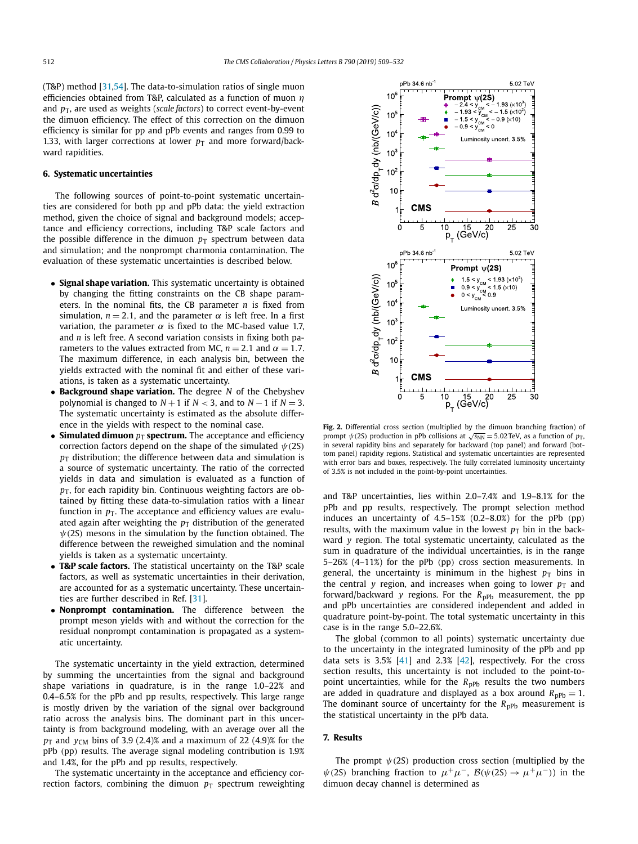<span id="page-3-0"></span>(T&P) method [\[31,54\]](#page-7-0). The data-to-simulation ratios of single muon efficiencies obtained from T&P, calculated as a function of muon *η* and *p*T, are used as weights (*scale factors*) to correct event-by-event the dimuon efficiency. The effect of this correction on the dimuon efficiency is similar for pp and pPb events and ranges from 0.99 to 1.33, with larger corrections at lower  $p<sub>T</sub>$  and more forward/backward rapidities.

#### **6. Systematic uncertainties**

The following sources of point-to-point systematic uncertainties are considered for both pp and pPb data: the yield extraction method, given the choice of signal and background models; acceptance and efficiency corrections, including T&P scale factors and the possible difference in the dimuon  $p<sub>T</sub>$  spectrum between data and simulation; and the nonprompt charmonia contamination. The evaluation of these systematic uncertainties is described below.

- **Signal shape variation.** This systematic uncertainty is obtained by changing the fitting constraints on the CB shape parameters. In the nominal fits, the CB parameter *n* is fixed from simulation,  $n = 2.1$ , and the parameter  $\alpha$  is left free. In a first variation, the parameter  $\alpha$  is fixed to the MC-based value 1.7, and *n* is left free. A second variation consists in fixing both parameters to the values extracted from MC,  $n = 2.1$  and  $\alpha = 1.7$ . The maximum difference, in each analysis bin, between the yields extracted with the nominal fit and either of these variations, is taken as a systematic uncertainty.
- **Background shape variation.** The degree *N* of the Chebyshev polynomial is changed to  $N+1$  if  $N < 3$ , and to  $N-1$  if  $N = 3$ . The systematic uncertainty is estimated as the absolute difference in the yields with respect to the nominal case.
- **Simulated dimuon**  $p_T$  **spectrum.** The acceptance and efficiency correction factors depend on the shape of the simulated *ψ(*2S*)*  $p<sub>T</sub>$  distribution; the difference between data and simulation is a source of systematic uncertainty. The ratio of the corrected yields in data and simulation is evaluated as a function of  $p<sub>T</sub>$ , for each rapidity bin. Continuous weighting factors are obtained by fitting these data-to-simulation ratios with a linear function in  $p_T$ . The acceptance and efficiency values are evaluated again after weighting the  $p<sub>T</sub>$  distribution of the generated *ψ(*2S*)* mesons in the simulation by the function obtained. The difference between the reweighed simulation and the nominal yields is taken as a systematic uncertainty.
- **T&P scale factors.** The statistical uncertainty on the T&P scale factors, as well as systematic uncertainties in their derivation, are accounted for as a systematic uncertainty. These uncertainties are further described in Ref. [\[31\]](#page-7-0).
- **Nonprompt contamination.** The difference between the prompt meson yields with and without the correction for the residual nonprompt contamination is propagated as a systematic uncertainty.

The systematic uncertainty in the yield extraction, determined by summing the uncertainties from the signal and background shape variations in quadrature, is in the range 1.0–22% and 0.4–6.5% for the pPb and pp results, respectively. This large range is mostly driven by the variation of the signal over background ratio across the analysis bins. The dominant part in this uncertainty is from background modeling, with an average over all the  $p_T$  and  $y_{CM}$  bins of 3.9 (2.4)% and a maximum of 22 (4.9)% for the pPb *(*pp*)* results. The average signal modeling contribution is 1.9% and 1.4%, for the pPb and pp results, respectively.

The systematic uncertainty in the acceptance and efficiency correction factors, combining the dimuon  $p_T$  spectrum reweighting



**Fig. 2.** Differential cross section (multiplied by the dimuon branching fraction) of prompt  $\psi$ (2S) production in pPb collisions at  $\sqrt{s_{NN}}$  = 5.02 TeV, as a function of *p*<sub>T</sub>, in several rapidity bins and separately for backward (top panel) and forward (bottom panel) rapidity regions. Statistical and systematic uncertainties are represented with error bars and boxes, respectively. The fully correlated luminosity uncertainty of 3.5% is not included in the point-by-point uncertainties.

and T&P uncertainties, lies within 2.0–7.4% and 1.9–8.1% for the pPb and pp results, respectively. The prompt selection method induces an uncertainty of 4.5–15% (0.2–8.0%) for the pPb *(*pp*)* results, with the maximum value in the lowest  $p<sub>T</sub>$  bin in the backward *y* region. The total systematic uncertainty, calculated as the sum in quadrature of the individual uncertainties, is in the range 5–26% (4–11%) for the pPb *(*pp*)* cross section measurements. In general, the uncertainty is minimum in the highest  $p<sub>T</sub>$  bins in the central *y* region, and increases when going to lower  $p<sub>T</sub>$  and forward/backward *y* regions. For the  $R_{pPb}$  measurement, the pp and pPb uncertainties are considered independent and added in quadrature point-by-point. The total systematic uncertainty in this case is in the range 5.0–22.6%.

The global (common to all points) systematic uncertainty due to the uncertainty in the integrated luminosity of the pPb and pp data sets is 3.5%  $[41]$  and 2.3%  $[42]$ , respectively. For the cross section results, this uncertainty is not included to the point-topoint uncertainties, while for the *R*<sub>pPb</sub> results the two numbers are added in quadrature and displayed as a box around  $R_{pPb} = 1$ . The dominant source of uncertainty for the  $R_{\text{pPb}}$  measurement is the statistical uncertainty in the pPb data.

#### **7. Results**

The prompt  $\psi$ (2S) production cross section (multiplied by the *ψ*(2S) branching fraction to  $μ<sup>+</sup>μ<sup>−</sup>$ ,  $B(ψ(2S) → μ<sup>+</sup>μ<sup>−</sup>)$ ) in the dimuon decay channel is determined as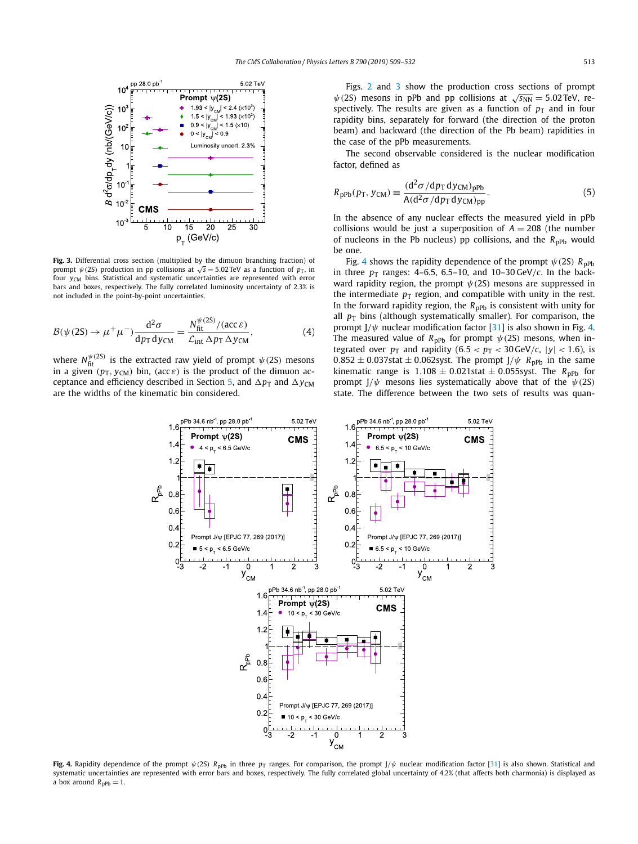<span id="page-4-0"></span>

**Fig. 3.** Differential cross section (multiplied by the dimuon branching fraction) of prompt  $\psi$ (2S) production in pp collisions at  $\sqrt{s}$  = 5.02 TeV as a function of  $p<sub>T</sub>$ , in four *y*<sub>CM</sub> bins. Statistical and systematic uncertainties are represented with error bars and boxes, respectively. The fully correlated luminosity uncertainty of 2.3% is not included in the point-by-point uncertainties.

$$
\mathcal{B}(\psi(2S) \to \mu^+ \mu^-) \frac{d^2 \sigma}{dp_T dy_{CM}} = \frac{N_{\text{fit}}^{\psi(2S)}/(acc \varepsilon)}{\mathcal{L}_{\text{int}} \Delta p_T \Delta y_{CM}},\tag{4}
$$

where  $N_{\text{fit}}^{\psi(2S)}$  is the extracted raw yield of prompt  $\psi(2S)$  mesons in a given  $(p_T, y_{CM})$  bin,  $(\text{acc } \varepsilon)$  is the product of the dimuon ac-ceptance and efficiency described in Section [5,](#page-2-0) and  $\Delta p_T$  and  $\Delta y_{CM}$ are the widths of the kinematic bin considered.

Figs. [2](#page-3-0) and 3 show the production cross sections of prompt  $\psi$ (2S) mesons in pPb and pp collisions at  $\sqrt{s_{NN}} = 5.02$  TeV, respectively. The results are given as a function of  $p<sub>T</sub>$  and in four rapidity bins, separately for forward (the direction of the proton beam) and backward (the direction of the Pb beam) rapidities in the case of the pPb measurements.

The second observable considered is the nuclear modification factor, defined as

$$
R_{\rm pPb}(p_{\rm T}, y_{\rm CM}) \equiv \frac{(\mathrm{d}^2 \sigma / \mathrm{d} p_{\rm T} \, \mathrm{d} y_{\rm CM})_{\rm ppb}}{\mathrm{A}(\mathrm{d}^2 \sigma / \mathrm{d} p_{\rm T} \, \mathrm{d} y_{\rm CM})_{\rm pp}}.
$$
(5)

In the absence of any nuclear effects the measured yield in pPb collisions would be just a superposition of  $A = 208$  (the number of nucleons in the Pb nucleus) pp collisions, and the  $R_{\text{pPb}}$  would be one.

Fig. 4 shows the rapidity dependence of the prompt  $\psi$  (2S)  $R_{\text{pPb}}$ in three  $p_T$  ranges: 4–6.5, 6.5–10, and 10–30 GeV/ $c$ . In the backward rapidity region, the prompt *ψ(*2S*)* mesons are suppressed in the intermediate  $p_T$  region, and compatible with unity in the rest. In the forward rapidity region, the  $R_{\text{pPb}}$  is consistent with unity for all  $p_T$  bins (although systematically smaller). For comparison, the prompt  $J/\psi$  nuclear modification factor [\[31\]](#page-7-0) is also shown in Fig. 4. The measured value of  $R_{\text{pPb}}$  for prompt  $\psi$ (2S) mesons, when integrated over  $p<sub>T</sub>$  and rapidity (6.5 <  $p<sub>T</sub>$  < 30 GeV/*c*,  $|y|$  < 1.6), is  $0.852 \pm 0.037$ stat  $\pm 0.062$ syst. The prompt  $J/\psi$   $R_{pPb}$  in the same kinematic range is  $1.108 \pm 0.021$  stat  $\pm 0.055$  syst. The  $R_{\text{pPb}}$  for prompt  $J/\psi$  mesons lies systematically above that of the  $\psi$ (2S) state. The difference between the two sets of results was quan-



**Fig. 4.** Rapidity dependence of the prompt  $\psi$ (2S)  $R_{\text{pPb}}$  in three  $p_T$  ranges. For comparison, the prompt J/ $\psi$  nuclear modification factor [\[31\]](#page-7-0) is also shown. Statistical and systematic uncertainties are represented with error bars and boxes, respectively. The fully correlated global uncertainty of 4.2% (that affects both charmonia) is displayed as a box around  $R_{\text{pPb}} = 1$ .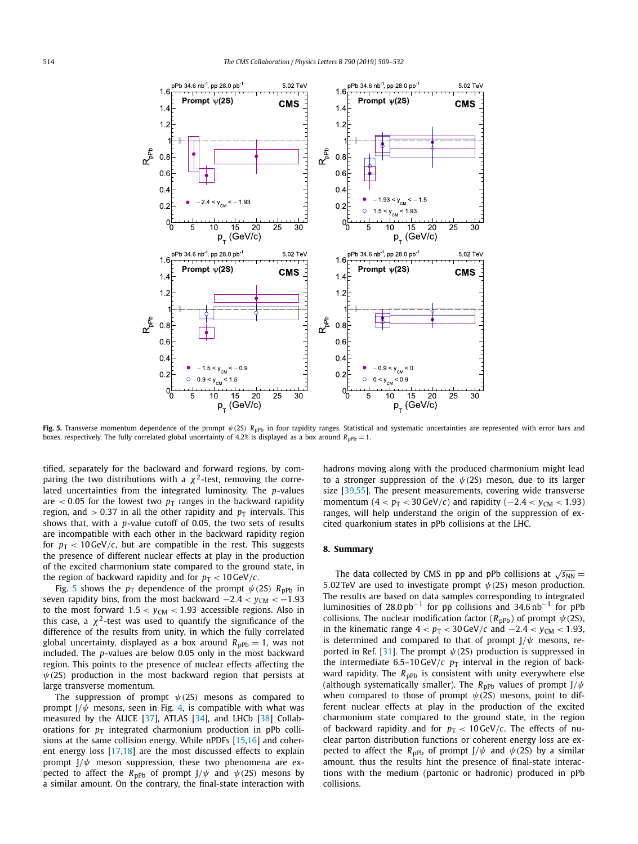

**Fig. 5.** Transverse momentum dependence of the prompt  $\psi$ (2S)  $R_{\text{pPb}}$  in four rapidity ranges. Statistical and systematic uncertainties are represented with error bars and boxes, respectively. The fully correlated global uncertainty of 4.2% is displayed as a box around  $R_{\text{pPb}} = 1$ .

tified, separately for the backward and forward regions, by comparing the two distributions with a  $\chi^2$ -test, removing the correlated uncertainties from the integrated luminosity. The *p*-values are  $<$  0.05 for the lowest two  $p<sub>T</sub>$  ranges in the backward rapidity region, and  $> 0.37$  in all the other rapidity and  $p<sub>T</sub>$  intervals. This shows that, with a *p*-value cutoff of 0.05, the two sets of results are incompatible with each other in the backward rapidity region for  $p_T < 10 \,\text{GeV/c}$ , but are compatible in the rest. This suggests the presence of different nuclear effects at play in the production of the excited charmonium state compared to the ground state, in the region of backward rapidity and for  $p<sub>T</sub> < 10$  GeV/*c*.

Fig. 5 shows the  $p_T$  dependence of the prompt  $\psi$  (2S)  $R_{pPb}$  in seven rapidity bins, from the most backward  $-2.4 < y_{CM} < -1.93$ to the most forward  $1.5 < y_{CM} < 1.93$  accessible regions. Also in this case, a  $\chi^2$ -test was used to quantify the significance of the difference of the results from unity, in which the fully correlated global uncertainty, displayed as a box around  $R_{\text{pPb}} = 1$ , was not included. The *p*-values are below 0.05 only in the most backward region. This points to the presence of nuclear effects affecting the *ψ(*2S*)* production in the most backward region that persists at large transverse momentum.

The suppression of prompt *ψ(*2S*)* mesons as compared to prompt  $J/\psi$  mesons, seen in Fig. [4,](#page-4-0) is compatible with what was measured by the ALICE [\[37\]](#page-7-0), ATLAS [\[34\]](#page-7-0), and LHCb [\[38\]](#page-7-0) Collaborations for  $p_T$  integrated charmonium production in pPb collisions at the same collision energy. While nPDFs [\[15,16\]](#page-6-0) and coherent energy loss [\[17,18\]](#page-6-0) are the most discussed effects to explain prompt  $J/\psi$  meson suppression, these two phenomena are expected to affect the  $R_{pPb}$  of prompt  $J/\psi$  and  $\psi$  (2S) mesons by a similar amount. On the contrary, the final-state interaction with hadrons moving along with the produced charmonium might lead to a stronger suppression of the *ψ(*2S*)* meson, due to its larger size [\[39,55\]](#page-7-0). The present measurements, covering wide transverse momentum  $(4 < p_T < 30 \,\text{GeV/c})$  and rapidity  $(-2.4 < y_{CM} < 1.93)$ ranges, will help understand the origin of the suppression of excited quarkonium states in pPb collisions at the LHC.

#### **8. Summary**

The data collected by CMS in pp and pPb collisions at  $\sqrt{s_{NN}}$  = 5*.*02 TeV are used to investigate prompt *ψ(*2S*)* meson production. The results are based on data samples corresponding to integrated luminosities of 28.0 pb<sup>-1</sup> for pp collisions and 34.6 nb<sup>-1</sup> for pPb collisions. The nuclear modification factor  $(R_{pPb})$  of prompt  $\psi$ (2S), in the kinematic range  $4 < p_T < 30 \,\text{GeV/c}$  and  $-2.4 < y_{CM} < 1.93$ , is determined and compared to that of prompt J*/ψ* mesons, re-ported in Ref. [\[31\]](#page-7-0). The prompt  $\psi$ (2S) production is suppressed in the intermediate 6.5–10 GeV/ $c$   $p_T$  interval in the region of backward rapidity. The *R*<sub>pPb</sub> is consistent with unity everywhere else (although systematically smaller). The *R*<sub>pPb</sub> values of prompt J/ $ψ$ when compared to those of prompt  $\psi$ (2S) mesons, point to different nuclear effects at play in the production of the excited charmonium state compared to the ground state, in the region of backward rapidity and for  $p<sub>T</sub> < 10$  GeV/*c*. The effects of nuclear parton distribution functions or coherent energy loss are expected to affect the  $R_{\text{pPb}}$  of prompt  $J/\psi$  and  $\psi$  (2S) by a similar amount, thus the results hint the presence of final-state interactions with the medium (partonic or hadronic) produced in pPb collisions.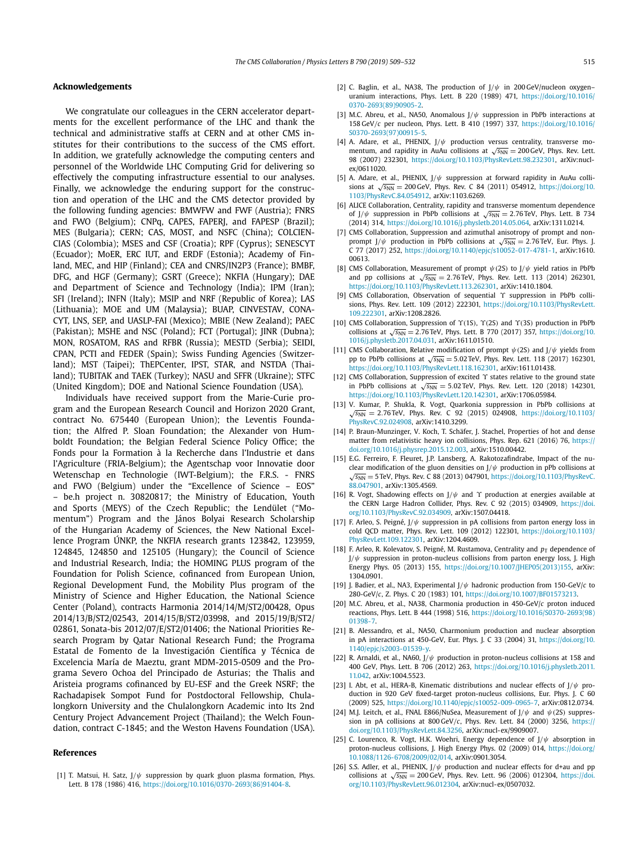#### <span id="page-6-0"></span>**Acknowledgements**

We congratulate our colleagues in the CERN accelerator departments for the excellent performance of the LHC and thank the technical and administrative staffs at CERN and at other CMS institutes for their contributions to the success of the CMS effort. In addition, we gratefully acknowledge the computing centers and personnel of the Worldwide LHC Computing Grid for delivering so effectively the computing infrastructure essential to our analyses. Finally, we acknowledge the enduring support for the construction and operation of the LHC and the CMS detector provided by the following funding agencies: BMWFW and FWF (Austria); FNRS and FWO (Belgium); CNPq, CAPES, FAPERJ, and FAPESP (Brazil); MES (Bulgaria); CERN; CAS, MOST, and NSFC (China); COLCIEN-CIAS (Colombia); MSES and CSF (Croatia); RPF (Cyprus); SENESCYT (Ecuador); MoER, ERC IUT, and ERDF (Estonia); Academy of Finland, MEC, and HIP (Finland); CEA and CNRS/IN2P3 (France); BMBF, DFG, and HGF (Germany); GSRT (Greece); NKFIA (Hungary); DAE and Department of Science and Technology (India); IPM (Iran); SFI (Ireland); INFN (Italy); MSIP and NRF (Republic of Korea); LAS (Lithuania); MOE and UM (Malaysia); BUAP, CINVESTAV, CONA-CYT, LNS, SEP, and UASLP-FAI (Mexico); MBIE (New Zealand); PAEC (Pakistan); MSHE and NSC (Poland); FCT (Portugal); JINR (Dubna); MON, ROSATOM, RAS and RFBR (Russia); MESTD (Serbia); SEIDI, CPAN, PCTI and FEDER (Spain); Swiss Funding Agencies (Switzerland); MST (Taipei); ThEPCenter, IPST, STAR, and NSTDA (Thailand); TUBITAK and TAEK (Turkey); NASU and SFFR (Ukraine); STFC (United Kingdom); DOE and National Science Foundation (USA).

Individuals have received support from the Marie-Curie program and the European Research Council and Horizon 2020 Grant, contract No. 675440 (European Union); the Leventis Foundation; the Alfred P. Sloan Foundation; the Alexander von Humboldt Foundation; the Belgian Federal Science Policy Office; the Fonds pour la Formation à la Recherche dans l'Industrie et dans l'Agriculture (FRIA-Belgium); the Agentschap voor Innovatie door Wetenschap en Technologie (IWT-Belgium); the F.R.S. - FNRS and FWO (Belgium) under the "Excellence of Science – EOS" – be.h project n. 30820817; the Ministry of Education, Youth and Sports (MEYS) of the Czech Republic; the Lendület ("Momentum") Program and the János Bolyai Research Scholarship of the Hungarian Academy of Sciences, the New National Excellence Program ÚNKP, the NKFIA research grants 123842, 123959, 124845, 124850 and 125105 (Hungary); the Council of Science and Industrial Research, India; the HOMING PLUS program of the Foundation for Polish Science, cofinanced from European Union, Regional Development Fund, the Mobility Plus program of the Ministry of Science and Higher Education, the National Science Center (Poland), contracts Harmonia 2014/14/M/ST2/00428, Opus 2014/13/B/ST2/02543, 2014/15/B/ST2/03998, and 2015/19/B/ST2/ 02861, Sonata-bis 2012/07/E/ST2/01406; the National Priorities Research Program by Qatar National Research Fund; the Programa Estatal de Fomento de la Investigación Científica y Técnica de Excelencia María de Maeztu, grant MDM-2015-0509 and the Programa Severo Ochoa del Principado de Asturias; the Thalis and Aristeia programs cofinanced by EU-ESF and the Greek NSRF; the Rachadapisek Sompot Fund for Postdoctoral Fellowship, Chulalongkorn University and the Chulalongkorn Academic into Its 2nd Century Project Advancement Project (Thailand); the Welch Foundation, contract C-1845; and the Weston Havens Foundation (USA).

#### **References**

[1] T. Matsui, H. Satz, J*/ψ* suppression by quark gluon plasma formation, Phys. Lett. B 178 (1986) 416, [https://doi.org/10.1016/0370-2693\(86\)91404-8.](https://doi.org/10.1016/0370-2693(86)91404-8)

- [2] C. Baglin, et al., NA38, The production of J*/ψ* in 200 GeV/nucleon oxygen– uranium interactions, Phys. Lett. B 220 (1989) 471, [https://doi.org/10.1016/](https://doi.org/10.1016/0370-2693(89)90905-2) [0370-2693\(89\)90905-2](https://doi.org/10.1016/0370-2693(89)90905-2).
- [3] M.C. Abreu, et al., NA50, Anomalous J*/ψ* suppression in PbPb interactions at 158 GeV*/c* per nucleon, Phys. Lett. B 410 (1997) 337, [https://doi.org/10.1016/](https://doi.org/10.1016/S0370-2693(97)00915-5) [S0370-2693\(97\)00915-5](https://doi.org/10.1016/S0370-2693(97)00915-5).
- [4] A. Adare, et al., PHENIX, J*/ψ* production versus centrality, transverse momentum, and rapidity in AuAu collisions at  $\sqrt{s_{NN}} = 200$  GeV, Phys. Rev. Lett. 98 (2007) 232301, <https://doi.org/10.1103/PhysRevLett.98.232301>, arXiv:nuclex/0611020.
- [5] A. Adare, et al., PHENIX, J*/ψ* suppression at forward rapidity in AuAu collisions at  $\sqrt{s_{NN}}$  = 200 GeV, Phys. Rev. C 84 (2011) 054912, [https://doi.org/10.](https://doi.org/10.1103/PhysRevC.84.054912) [1103/PhysRevC.84.054912,](https://doi.org/10.1103/PhysRevC.84.054912) arXiv:1103.6269.
- [6] ALICE Collaboration, Centrality, rapidity and transverse momentum dependence of J/ $\psi$  suppression in PbPb collisions at  $\sqrt{s_{NN}}$  = 2.76 TeV, Phys. Lett. B 734 (2014) 314, <https://doi.org/10.1016/j.physletb.2014.05.064>, arXiv:1311.0214.
- [7] CMS Collaboration, Suppression and azimuthal anisotropy of prompt and nonprompt J/ $\psi$  production in PbPb collisions at  $\sqrt{s_{NN}} = 2.76$  TeV, Eur. Phys. J. C 77 (2017) 252, [https://doi.org/10.1140/epjc/s10052-017-4781-1,](https://doi.org/10.1140/epjc/s10052-017-4781-1) arXiv:1610. 00613.
- [8] CMS Collaboration, Measurement of prompt *ψ(*2S*)* to J*/ψ* yield ratios in PbPb and pp collisions at  $\sqrt{s_{NN}} = 2.76$  TeV, Phys. Rev. Lett. 113 (2014) 262301, <https://doi.org/10.1103/PhysRevLett.113.262301>, arXiv:1410.1804.
- [9] CMS Collaboration, Observation of sequential *ϒ* suppression in PbPb collisions, Phys. Rev. Lett. 109 (2012) 222301, [https://doi.org/10.1103/PhysRevLett.](https://doi.org/10.1103/PhysRevLett.109.222301) [109.222301](https://doi.org/10.1103/PhysRevLett.109.222301), arXiv:1208.2826.
- [10] CMS Collaboration, Suppression of *ϒ(*1S*)*, *ϒ(*2S*)* and *ϒ(*3S*)* production in PbPb collisions at  $\sqrt{s_{NN}}$  = 2.76 TeV, Phys. Lett. B 770 (2017) 357, [https://doi.org/10.](https://doi.org/10.1016/j.physletb.2017.04.031) [1016/j.physletb.2017.04.031,](https://doi.org/10.1016/j.physletb.2017.04.031) arXiv:1611.01510.
- [11] CMS Collaboration, Relative modification of prompt *ψ(*2S*)* and J*/ψ* yields from pp to PbPb collisions at  $\sqrt{s_{NN}}$  = 5.02 TeV, Phys. Rev. Lett. 118 (2017) 162301, <https://doi.org/10.1103/PhysRevLett.118.162301>, arXiv:1611.01438.
- [12] CMS Collaboration, Suppression of excited *ϒ* states relative to the ground state in PbPb collisions at  $\sqrt{s_{NN}}$  = 5.02 TeV, Phys. Rev. Lett. 120 (2018) 142301, <https://doi.org/10.1103/PhysRevLett.120.142301>, arXiv:1706.05984.
- [13] V. Kumar, P. Shukla, R. Vogt, Quarkonia suppression in PbPb collisions at  $\sqrt{s_{NN}} = 2.76$  TeV, Phys. Rev. C 92 (2015) 024908, [https://doi.org/10.1103/](https://doi.org/10.1103/PhysRevC.92.024908) [PhysRevC.92.024908,](https://doi.org/10.1103/PhysRevC.92.024908) arXiv:1410.3299.
- [14] P. Braun-Munzinger, V. Koch, T. Schäfer, J. Stachel, Properties of hot and dense matter from relativistic heavy ion collisions, Phys. Rep. 621 (2016) 76, [https://](https://doi.org/10.1016/j.physrep.2015.12.003) [doi.org/10.1016/j.physrep.2015.12.003](https://doi.org/10.1016/j.physrep.2015.12.003), arXiv:1510.00442.
- [15] E.G. Ferreiro, F. Fleuret, J.P. Lansberg, A. Rakotozafindrabe, Impact of the nuclear modification of the gluon densities on *J/ψ* production in pPb collisions at √*s*<sub>NN</sub> = 5 TeV, Phys. Rev. C 88 (2013) 047901, [https://doi.org/10.1103/PhysRevC.](https://doi.org/10.1103/PhysRevC.88.047901) [88.047901](https://doi.org/10.1103/PhysRevC.88.047901), arXiv:1305.4569.
- [16] R. Vogt, Shadowing effects on J*/ψ* and *ϒ* production at energies available at the CERN Large Hadron Collider, Phys. Rev. C 92 (2015) 034909, [https://doi.](https://doi.org/10.1103/PhysRevC.92.034909) [org/10.1103/PhysRevC.92.034909](https://doi.org/10.1103/PhysRevC.92.034909), arXiv:1507.04418.
- [17] F. Arleo, S. Peigné, J*/ψ* suppression in pA collisions from parton energy loss in cold QCD matter, Phys. Rev. Lett. 109 (2012) 122301, [https://doi.org/10.1103/](https://doi.org/10.1103/PhysRevLett.109.122301) [PhysRevLett.109.122301,](https://doi.org/10.1103/PhysRevLett.109.122301) arXiv:1204.4609.
- [18] F. Arleo, R. Kolevatov, S. Peigné, M. Rustamova, Centrality and  $p<sub>T</sub>$  dependence of J*/ψ* suppression in proton-nucleus collisions from parton energy loss, J. High Energy Phys. 05 (2013) 155, [https://doi.org/10.1007/JHEP05\(2013\)155](https://doi.org/10.1007/JHEP05(2013)155), arXiv: 1304.0901.
- [19] J. Badier, et al., NA3, Experimental J*/ψ* hadronic production from 150-GeV/*c* to 280-GeV/*c*, Z. Phys. C 20 (1983) 101, <https://doi.org/10.1007/BF01573213>.
- [20] M.C. Abreu, et al., NA38, Charmonia production in 450-GeV/*c* proton induced reactions, Phys. Lett. B 444 (1998) 516, [https://doi.org/10.1016/S0370-2693\(98\)](https://doi.org/10.1016/S0370-2693(98)01398-7) [01398-7.](https://doi.org/10.1016/S0370-2693(98)01398-7)
- [21] B. Alessandro, et al., NA50, Charmonium production and nuclear absorption in pA interactions at 450-GeV, Eur. Phys. J. C 33 (2004) 31, [https://doi.org/10.](https://doi.org/10.1140/epjc/s2003-01539-y) [1140/epjc/s2003-01539-y](https://doi.org/10.1140/epjc/s2003-01539-y).
- [22] R. Arnaldi, et al., NA60, J*/ψ* production in proton-nucleus collisions at 158 and 400 GeV, Phys. Lett. B 706 (2012) 263, [https://doi.org/10.1016/j.physletb.2011.](https://doi.org/10.1016/j.physletb.2011.11.042) [11.042,](https://doi.org/10.1016/j.physletb.2011.11.042) arXiv:1004.5523.
- [23] I. Abt, et al., HERA-B, Kinematic distributions and nuclear effects of J*/ψ* production in 920 GeV fixed-target proton-nucleus collisions, Eur. Phys. J. C 60 (2009) 525, [https://doi.org/10.1140/epjc/s10052-009-0965-7,](https://doi.org/10.1140/epjc/s10052-009-0965-7) arXiv:0812.0734.
- [24] M.J. Leitch, et al., FNAL E866/NuSea, Measurement of J*/ψ* and *ψ(*2S*)* suppression in pA collisions at 800 GeV*/c*, Phys. Rev. Lett. 84 (2000) 3256, [https://](https://doi.org/10.1103/PhysRevLett.84.3256) [doi.org/10.1103/PhysRevLett.84.3256](https://doi.org/10.1103/PhysRevLett.84.3256), arXiv:nucl-ex/9909007.
- [25] C. Lourenco, R. Vogt, H.K. Woehri, Energy dependence of J*/ψ* absorption in proton-nucleus collisions, J. High Energy Phys. 02 (2009) 014, [https://doi.org/](https://doi.org/10.1088/1126-6708/2009/02/014) [10.1088/1126-6708/2009/02/014](https://doi.org/10.1088/1126-6708/2009/02/014), arXiv:0901.3054.
- [26] S.S. Adler, et al., PHENIX, J*/ψ* production and nuclear effects for d+au and pp collisions at  $\sqrt{s_{NN}}$  = 200 GeV, Phys. Rev. Lett. 96 (2006) 012304, [https://doi.](https://doi.org/10.1103/PhysRevLett.96.012304) [org/10.1103/PhysRevLett.96.012304,](https://doi.org/10.1103/PhysRevLett.96.012304) arXiv:nucl-ex/0507032.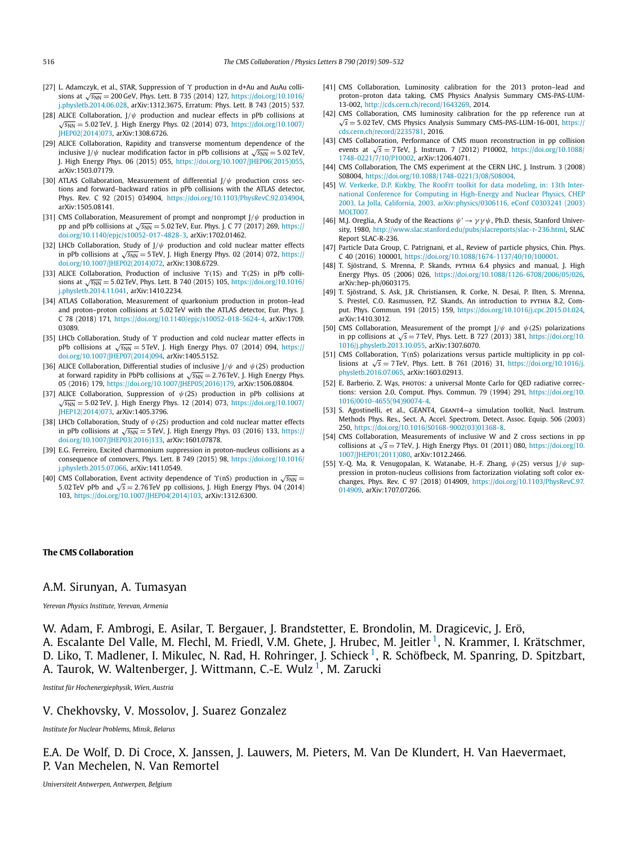- <span id="page-7-0"></span>[27] L. Adamczyk, et al., STAR, Suppression of *ϒ* production in d+Au and AuAu collisions at √<sup>*s*<sub>NN</sub></sup> = 200 GeV, Phys. Lett. B 735 (2014) 127, [https://doi.org/10.1016/](https://doi.org/10.1016/j.physletb.2014.06.028) [j.physletb.2014.06.028,](https://doi.org/10.1016/j.physletb.2014.06.028) arXiv:1312.3675, Erratum: Phys. Lett. B 743 (2015) 537.
- [28] ALICE Collaboration, J/ $\psi$  production and nuclear effects in pPb collisions at  $\sqrt{s_{NN}}$  = 5.02 TeV, J. High Energy Phys. 02 (2014) 073, [https://doi.org/10.1007/](https://doi.org/10.1007/JHEP02(2014)073) [JHEP02\(2014\)073](https://doi.org/10.1007/JHEP02(2014)073), arXiv:1308.6726.
- [29] ALICE Collaboration, Rapidity and transverse momentum dependence of the inclusive J/ $\psi$  nuclear modification factor in pPb collisions at  $\sqrt{s_{NN}} = 5.02$  TeV, J. High Energy Phys. 06 (2015) 055, [https://doi.org/10.1007/JHEP06\(2015\)055](https://doi.org/10.1007/JHEP06(2015)055), arXiv:1503.07179.
- [30] ATLAS Collaboration, Measurement of differential J*/ψ* production cross sections and forward–backward ratios in pPb collisions with the ATLAS detector, Phys. Rev. C 92 (2015) 034904, <https://doi.org/10.1103/PhysRevC.92.034904>, arXiv:1505.08141.
- [31] CMS Collaboration, Measurement of prompt and nonprompt J*/ψ* production in pp and pPb collisions at  $\sqrt{s_{NN}}$  = 5.02 TeV, Eur. Phys. J. C 77 (2017) 269, [https://](https://doi.org/10.1140/epjc/s10052-017-4828-3) [doi.org/10.1140/epjc/s10052-017-4828-3](https://doi.org/10.1140/epjc/s10052-017-4828-3), arXiv:1702.01462.
- [32] LHCb Collaboration, Study of J*/ψ* production and cold nuclear matter effects in pPb collisions at  $\sqrt{s_{NN}} = 5$  TeV, J. High Energy Phys. 02 (2014) 072, [https://](https://doi.org/10.1007/JHEP02(2014)072) [doi.org/10.1007/JHEP02\(2014\)072,](https://doi.org/10.1007/JHEP02(2014)072) arXiv:1308.6729.
- [33] ALICE Collaboration, Production of inclusive *ϒ(*1S*)* and *ϒ(*2S*)* in pPb collisions at  $\sqrt{s_{NN}}$  = 5.02 TeV, Phys. Lett. B 740 (2015) 105, [https://doi.org/10.1016/](https://doi.org/10.1016/j.physletb.2014.11.041) [j.physletb.2014.11.041,](https://doi.org/10.1016/j.physletb.2014.11.041) arXiv:1410.2234.
- [34] ATLAS Collaboration, Measurement of quarkonium production in proton–lead and proton–proton collisions at 5*.*02 TeV with the ATLAS detector, Eur. Phys. J. C 78 (2018) 171, [https://doi.org/10.1140/epjc/s10052-018-5624-4,](https://doi.org/10.1140/epjc/s10052-018-5624-4) arXiv:1709. 03089.
- [35] LHCb Collaboration, Study of *ϒ* production and cold nuclear matter effects in pPb collisions at  $\sqrt{s_{NN}} = 5$  TeV, J. High Energy Phys. 07 (2014) 094, [https://](https://doi.org/10.1007/JHEP07(2014)094) [doi.org/10.1007/JHEP07\(2014\)094,](https://doi.org/10.1007/JHEP07(2014)094) arXiv:1405.5152.
- [36] ALICE Collaboration, Differential studies of inclusive J*/ψ* and *ψ(*2S*)* production at forward rapidity in PbPb collisions at  $\sqrt{s_{NN}}$  = 2.76 TeV, J. High Energy Phys. 05 (2016) 179, [https://doi.org/10.1007/JHEP05\(2016\)179](https://doi.org/10.1007/JHEP05(2016)179), arXiv:1506.08804.
- [37] ALICE Collaboration, Suppression of  $\psi$ (2S) production in pPb collisions at  $\sqrt{s_{NN}}$  = 5.02 TeV, J. High Energy Phys. 12 (2014) 073, [https://doi.org/10.1007/](https://doi.org/10.1007/JHEP12(2014)073) [JHEP12\(2014\)073](https://doi.org/10.1007/JHEP12(2014)073), arXiv:1405.3796.
- [38] LHCb Collaboration, Study of *ψ(*2S*)* production and cold nuclear matter effects in pPb collisions at  $\sqrt{s_{NN}} = 5$  TeV, J. High Energy Phys. 03 (2016) 133, [https://](https://doi.org/10.1007/JHEP03(2016)133) [doi.org/10.1007/JHEP03\(2016\)133,](https://doi.org/10.1007/JHEP03(2016)133) arXiv:1601.07878.
- [39] E.G. Ferreiro, Excited charmonium suppression in proton-nucleus collisions as a consequence of comovers, Phys. Lett. B 749 (2015) 98, [https://doi.org/10.1016/](https://doi.org/10.1016/j.physletb.2015.07.066) [j.physletb.2015.07.066,](https://doi.org/10.1016/j.physletb.2015.07.066) arXiv:1411.0549.
- [40] CMS Collaboration, Event activity dependence of  $\Upsilon$ (nS) production in  $\sqrt{s_{NN}}$  = 5.02 TeV pPb and  $\sqrt{s}$  = 2.76 TeV pp collisions, J. High Energy Phys. 04 (2014) 103, [https://doi.org/10.1007/JHEP04\(2014\)103,](https://doi.org/10.1007/JHEP04(2014)103) arXiv:1312.6300.
- [41] CMS Collaboration, Luminosity calibration for the 2013 proton-lead and proton–proton data taking, CMS Physics Analysis Summary CMS-PAS-LUM13-002, [http://cds.cern.ch/record/1643269,](http://cds.cern.ch/record/1643269) 2014.<br>[42] CMS Collaboration, CMS luminosity calibration for the pp reference run at
- $\sqrt{s}$  = 5.02 TeV, CMS Physics Analysis Summary CMS-PAS-LUM-16-001, [https://](https://cds.cern.ch/record/2235781) [cds.cern.ch/record/2235781,](https://cds.cern.ch/record/2235781) 2016.
- [43] CMS Collaboration, Performance of CMS muon reconstruction in pp collision events at  $\sqrt{s}$  = 7 TeV, J. Instrum. 7 (2012) P10002, [https://doi.org/10.1088/](https://doi.org/10.1088/1748-0221/7/10/P10002) [1748-0221/7/10/P10002,](https://doi.org/10.1088/1748-0221/7/10/P10002) arXiv:1206.4071.
- [44] CMS Collaboration, The CMS experiment at the CERN LHC, J. Instrum. 3 (2008) S08004, <https://doi.org/10.1088/1748-0221/3/08/S08004>.
- [45] W. Verkerke, D.P. Kirkby, The RooFir toolkit for data [modeling,](http://refhub.elsevier.com/S0370-2693(19)30083-8/bib726F6F666974s1) in: 13th International Conference for Computing in [High-Energy](http://refhub.elsevier.com/S0370-2693(19)30083-8/bib726F6F666974s1) and Nuclear Physics, CHEP 2003, La Jolla, California, 2003, [arXiv:physics/0306116,](http://refhub.elsevier.com/S0370-2693(19)30083-8/bib726F6F666974s1) eConf C0303241 (2003) MOLT007
- [46] M.J. Oreglia, A Study of the Reactions  $ψ' → γγψ$ , Ph.D. thesis, Stanford University, 1980, <http://www.slac.stanford.edu/pubs/slacreports/slac-r-236.html>, SLAC Report SLAC-R-236.
- [47] Particle Data Group, C. Patrignani, et al., Review of particle physics, Chin. Phys. C 40 (2016) 100001, [https://doi.org/10.1088/1674-1137/40/10/100001.](https://doi.org/10.1088/1674-1137/40/10/100001)
- [48] T. Sjöstrand, S. Mrenna, P. Skands, PYTHIA 6.4 physics and manual, J. High Energy Phys. 05 (2006) 026, <https://doi.org/10.1088/1126-6708/2006/05/026>, arXiv:hep-ph/0603175.
- [49] T. Sjöstrand, S. Ask, J.R. Christiansen, R. Corke, N. Desai, P. Ilten, S. Mrenna, S. Prestel, C.O. Rasmussen, P.Z. Skands, An introduction to pythia 8.2, Comput. Phys. Commun. 191 (2015) 159, <https://doi.org/10.1016/j.cpc.2015.01.024>, arXiv:1410.3012.
- [50] CMS Collaboration, Measurement of the prompt J*/ψ* and *ψ(*2S*)* polarizations in pp collisions at  $\sqrt{s}$  = 7 TeV, Phys. Lett. B 727 (2013) 381, [https://doi.org/10.](https://doi.org/10.1016/j.physletb.2013.10.055) [1016/j.physletb.2013.10.055](https://doi.org/10.1016/j.physletb.2013.10.055), arXiv:1307.6070.
- [51] CMS Collaboration, *ϒ(*nS*)* polarizations versus particle multiplicity in pp collisions at <sup>√</sup>*<sup>s</sup>* <sup>=</sup> <sup>7</sup> TeV, Phys. Lett. <sup>B</sup> <sup>761</sup> (2016) 31, [https://doi.org/10.1016/j.](https://doi.org/10.1016/j.physletb.2016.07.065) [physletb.2016.07.065,](https://doi.org/10.1016/j.physletb.2016.07.065) arXiv:1603.02913.
- [52] E. Barberio, Z. Was, PHOTOS: a universal Monte Carlo for QED radiative corrections: version 2.0, Comput. Phys. Commun. 79 (1994) 291, [https://doi.org/10.](https://doi.org/10.1016/0010-4655(94)90074-4) [1016/0010-4655\(94\)90074-4](https://doi.org/10.1016/0010-4655(94)90074-4).
- [53] S. Agostinelli, et al., GEANT4, GEANT4-a simulation toolkit, Nucl. Instrum. Methods Phys. Res., Sect. A, Accel. Spectrom. Detect. Assoc. Equip. 506 (2003) 250, [https://doi.org/10.1016/S0168-9002\(03\)01368-8.](https://doi.org/10.1016/S0168-9002(03)01368-8)
- [54] CMS Collaboration, Measurements of inclusive W and Z cross sections in pp collisions at  $\sqrt{s}$  = 7 TeV, J. High Energy Phys. 01 (2011) 080, [https://doi.org/10.](https://doi.org/10.1007/JHEP01(2011)080) [1007/JHEP01\(2011\)080](https://doi.org/10.1007/JHEP01(2011)080), arXiv:1012.2466.
- [55] Y.-Q. Ma, R. Venugopalan, K. Watanabe, H.-F. Zhang, *ψ(*2S*)* versus J*/ψ* suppression in proton-nucleus collisions from factorization violating soft color exchanges, Phys. Rev. C 97 (2018) 014909, [https://doi.org/10.1103/PhysRevC.97.](https://doi.org/10.1103/PhysRevC.97.014909) [014909,](https://doi.org/10.1103/PhysRevC.97.014909) arXiv:1707.07266.

#### **The CMS Collaboration**

#### A.M. Sirunyan, A. Tumasyan

#### *Yerevan Physics Institute, Yerevan, Armenia*

W. Adam, F. Ambrogi, E. Asilar, T. Bergauer, J. Brandstetter, E. Brondolin, M. Dragicevic, J. Erö, A. Escalante Del Valle, M. Flechl, M. Friedl, V.M. Ghete, J. Hrubec, M. Jeitler<sup>1</sup>, N. Krammer, I. Krätschmer, D. Liko, T. Madlener, I. Mikulec, N. Rad, H. Rohringer, J. Schieck<sup>1</sup>, R. Schöfbeck, M. Spanring, D. Spitzbart, A. Taurok, W. Waltenberger, J. Wittmann, C.-E. Wulz<sup>[1](#page-22-0)</sup>, M. Zarucki

*Institut für Hochenergiephysik, Wien, Austria*

### V. Chekhovsky, V. Mossolov, J. Suarez Gonzalez

*Institute for Nuclear Problems, Minsk, Belarus*

E.A. De Wolf, D. Di Croce, X. Janssen, J. Lauwers, M. Pieters, M. Van De Klundert, H. Van Haevermaet, P. Van Mechelen, N. Van Remortel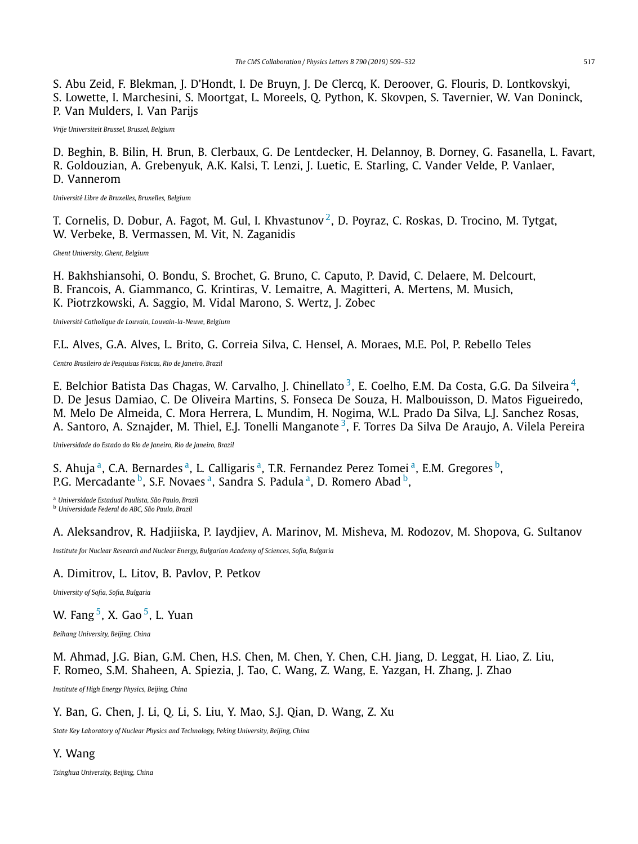S. Abu Zeid, F. Blekman, J. D'Hondt, I. De Bruyn, J. De Clercq, K. Deroover, G. Flouris, D. Lontkovskyi, S. Lowette, I. Marchesini, S. Moortgat, L. Moreels, Q. Python, K. Skovpen, S. Tavernier, W. Van Doninck, P. Van Mulders, I. Van Parijs

*Vrije Universiteit Brussel, Brussel, Belgium*

D. Beghin, B. Bilin, H. Brun, B. Clerbaux, G. De Lentdecker, H. Delannoy, B. Dorney, G. Fasanella, L. Favart, R. Goldouzian, A. Grebenyuk, A.K. Kalsi, T. Lenzi, J. Luetic, E. Starling, C. Vander Velde, P. Vanlaer, D. Vannerom

*Université Libre de Bruxelles, Bruxelles, Belgium*

T. Cornelis, D. Dobur, A. Fagot, M. Gul, I. Khvastunov<sup>2</sup>, D. Poyraz, C. Roskas, D. Trocino, M. Tytgat, W. Verbeke, B. Vermassen, M. Vit, N. Zaganidis

*Ghent University, Ghent, Belgium*

H. Bakhshiansohi, O. Bondu, S. Brochet, G. Bruno, C. Caputo, P. David, C. Delaere, M. Delcourt, B. Francois, A. Giammanco, G. Krintiras, V. Lemaitre, A. Magitteri, A. Mertens, M. Musich, K. Piotrzkowski, A. Saggio, M. Vidal Marono, S. Wertz, J. Zobec

*Université Catholique de Louvain, Louvain-la-Neuve, Belgium*

F.L. Alves, G.A. Alves, L. Brito, G. Correia Silva, C. Hensel, A. Moraes, M.E. Pol, P. Rebello Teles

*Centro Brasileiro de Pesquisas Fisicas, Rio de Janeiro, Brazil*

E. Belchior Batista Das Chagas, W. Carvalho, J. Chinellato<sup>[3](#page-22-0)</sup>, E. Coelho, E.M. Da Costa, G.G. Da Silveira<sup>4</sup>, D. De Jesus Damiao, C. De Oliveira Martins, S. Fonseca De Souza, H. Malbouisson, D. Matos Figueiredo, M. Melo De Almeida, C. Mora Herrera, L. Mundim, H. Nogima, W.L. Prado Da Silva, L.J. Sanchez Rosas, A. Santoro, A. Sznajder, M. Thiel, E.J. Tonelli Manganote<sup>[3](#page-22-0)</sup>, F. Torres Da Silva De Araujo, A. Vilela Pereira

*Universidade do Estado do Rio de Janeiro, Rio de Janeiro, Brazil*

S. Ahuja<sup>a</sup>, C.A. Bernardes<sup>a</sup>, L. Calligaris<sup>a</sup>, T.R. Fernandez Perez Tomei<sup>a</sup>, E.M. Gregores<sup>b</sup>, P.G. Mercadante  $^{\rm b}$ , S.F. Novaes  $^{\rm a}$ , Sandra S. Padula  $^{\rm a}$ , D. Romero Abad  $^{\rm b}$ ,

<sup>a</sup> *Universidade Estadual Paulista, São Paulo, Brazil* <sup>b</sup> *Universidade Federal do ABC, São Paulo, Brazil*

A. Aleksandrov, R. Hadjiiska, P. Iaydjiev, A. Marinov, M. Misheva, M. Rodozov, M. Shopova, G. Sultanov

*Institute for Nuclear Research and Nuclear Energy, Bulgarian Academy of Sciences, Sofia, Bulgaria*

### A. Dimitrov, L. Litov, B. Pavlov, P. Petkov

*University of Sofia, Sofia, Bulgaria*

# W. Fang  $5$ , X. Gao  $5$ . L. Yuan

*Beihang University, Beijing, China*

M. Ahmad, J.G. Bian, G.M. Chen, H.S. Chen, M. Chen, Y. Chen, C.H. Jiang, D. Leggat, H. Liao, Z. Liu, F. Romeo, S.M. Shaheen, A. Spiezia, J. Tao, C. Wang, Z. Wang, E. Yazgan, H. Zhang, J. Zhao

*Institute of High Energy Physics, Beijing, China*

# Y. Ban, G. Chen, J. Li, Q. Li, S. Liu, Y. Mao, S.J. Qian, D. Wang, Z. Xu

*State Key Laboratory of Nuclear Physics and Technology, Peking University, Beijing, China*

### Y. Wang

*Tsinghua University, Beijing, China*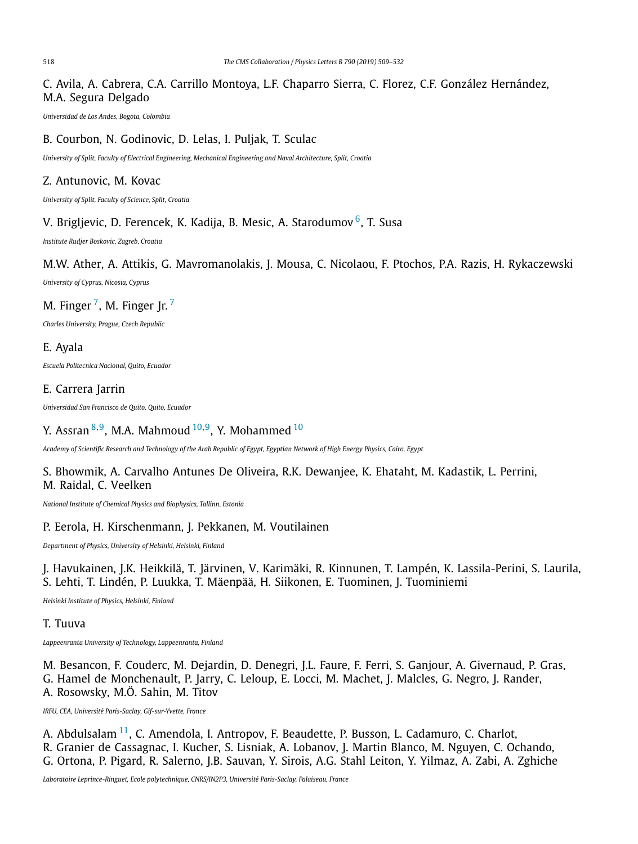# C. Avila, A. Cabrera, C.A. Carrillo Montoya, L.F. Chaparro Sierra, C. Florez, C.F. González Hernández, M.A. Segura Delgado

*Universidad de Los Andes, Bogota, Colombia*

# B. Courbon, N. Godinovic, D. Lelas, I. Puljak, T. Sculac

*University of Split, Faculty of Electrical Engineering, Mechanical Engineering and Naval Architecture, Split, Croatia*

### Z. Antunovic, M. Kovac

*University of Split, Faculty of Science, Split, Croatia*

# V. Brigljevic, D. Ferencek, K. Kadija, B. Mesic, A. Starodumov<sup>6</sup>. T. Susa

*Institute Rudjer Boskovic, Zagreb, Croatia*

### M.W. Ather, A. Attikis, G. Mavromanolakis, J. Mousa, C. Nicolaou, F. Ptochos, P.A. Razis, H. Rykaczewski

*University of Cyprus, Nicosia, Cyprus*

# M. Finger<sup>[7](#page-22-0)</sup>, M. Finger Ir.<sup>7</sup>

*Charles University, Prague, Czech Republic*

E. Ayala

*Escuela Politecnica Nacional, Quito, Ecuador*

# E. Carrera Jarrin

*Universidad San Francisco de Quito, Quito, Ecuador*

# Y. Assran [8](#page-22-0)*,*[9,](#page-22-0) M.A. Mahmoud [10](#page-22-0)*,*[9,](#page-22-0) Y. Mohammed [10](#page-22-0)

Academy of Scientific Research and Technology of the Arab Republic of Egypt, Egyptian Network of High Energy Physics, Cairo, Egypt

# S. Bhowmik, A. Carvalho Antunes De Oliveira, R.K. Dewanjee, K. Ehataht, M. Kadastik, L. Perrini, M. Raidal, C. Veelken

*National Institute of Chemical Physics and Biophysics, Tallinn, Estonia*

### P. Eerola, H. Kirschenmann, J. Pekkanen, M. Voutilainen

*Department of Physics, University of Helsinki, Helsinki, Finland*

J. Havukainen, J.K. Heikkilä, T. Järvinen, V. Karimäki, R. Kinnunen, T. Lampén, K. Lassila-Perini, S. Laurila, S. Lehti, T. Lindén, P. Luukka, T. Mäenpää, H. Siikonen, E. Tuominen, J. Tuominiemi

*Helsinki Institute of Physics, Helsinki, Finland*

### T. Tuuva

*Lappeenranta University of Technology, Lappeenranta, Finland*

M. Besancon, F. Couderc, M. Dejardin, D. Denegri, J.L. Faure, F. Ferri, S. Ganjour, A. Givernaud, P. Gras, G. Hamel de Monchenault, P. Jarry, C. Leloup, E. Locci, M. Machet, J. Malcles, G. Negro, J. Rander, A. Rosowsky, M.Ö. Sahin, M. Titov

*IRFU, CEA, Université Paris-Saclay, Gif-sur-Yvette, France*

A. Abdulsalam [11,](#page-22-0) C. Amendola, I. Antropov, F. Beaudette, P. Busson, L. Cadamuro, C. Charlot, R. Granier de Cassagnac, I. Kucher, S. Lisniak, A. Lobanov, J. Martin Blanco, M. Nguyen, C. Ochando, G. Ortona, P. Pigard, R. Salerno, J.B. Sauvan, Y. Sirois, A.G. Stahl Leiton, Y. Yilmaz, A. Zabi, A. Zghiche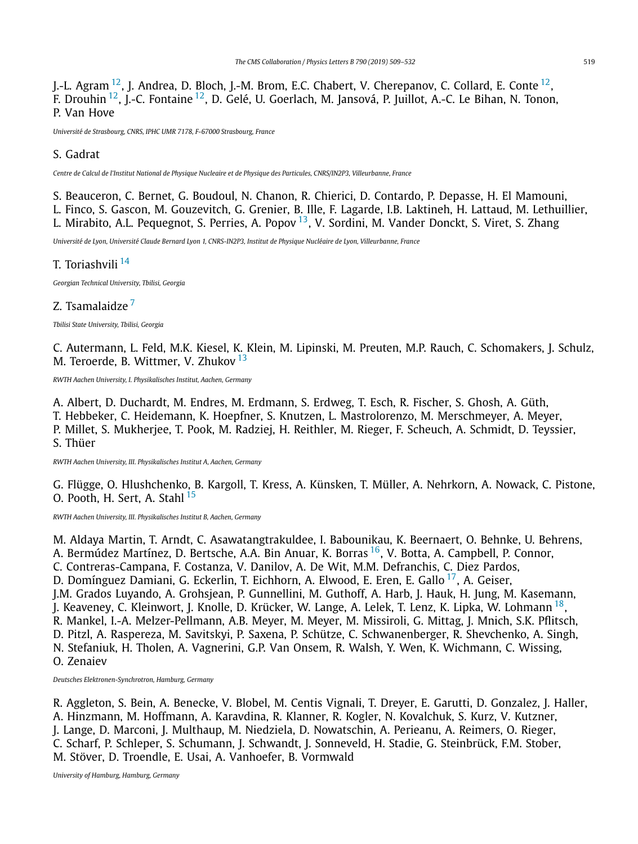J.-L. Agram <sup>12</sup>, J. Andrea, D. Bloch, J.-M. Brom, E.C. Chabert, V. Cherepanov, C. Collard, E. Conte <sup>12</sup>, F. Drouhin [12,](#page-22-0) J.-C. Fontaine [12,](#page-22-0) D. Gelé, U. Goerlach, M. Jansová, P. Juillot, A.-C. Le Bihan, N. Tonon, P. Van Hove

*Université de Strasbourg, CNRS, IPHC UMR 7178, F-67000 Strasbourg, France*

#### S. Gadrat

Centre de Calcul de l'Institut National de Physique Nucleaire et de Physique des Particules, CNRS/IN2P3, Villeurbanne, France

S. Beauceron, C. Bernet, G. Boudoul, N. Chanon, R. Chierici, D. Contardo, P. Depasse, H. El Mamouni, L. Finco, S. Gascon, M. Gouzevitch, G. Grenier, B. Ille, F. Lagarde, I.B. Laktineh, H. Lattaud, M. Lethuillier, L. Mirabito, A.L. Pequegnot, S. Perries, A. Popov<sup>13</sup>, V. Sordini, M. Vander Donckt, S. Viret, S. Zhang

Université de Lyon, Université Claude Bernard Lyon 1, CNRS-IN2P3, Institut de Physique Nucléaire de Lyon, Villeurbanne, France

# T. Toriashvili [14](#page-22-0)

*Georgian Technical University, Tbilisi, Georgia*

# Z. Tsamalaidze [7](#page-22-0)

*Tbilisi State University, Tbilisi, Georgia*

C. Autermann, L. Feld, M.K. Kiesel, K. Klein, M. Lipinski, M. Preuten, M.P. Rauch, C. Schomakers, J. Schulz, M. Teroerde, B. Wittmer, V. Zhukov<sup>[13](#page-22-0)</sup>

*RWTH Aachen University, I. Physikalisches Institut, Aachen, Germany*

A. Albert, D. Duchardt, M. Endres, M. Erdmann, S. Erdweg, T. Esch, R. Fischer, S. Ghosh, A. Güth, T. Hebbeker, C. Heidemann, K. Hoepfner, S. Knutzen, L. Mastrolorenzo, M. Merschmeyer, A. Meyer, P. Millet, S. Mukherjee, T. Pook, M. Radziej, H. Reithler, M. Rieger, F. Scheuch, A. Schmidt, D. Teyssier, S. Thüer

*RWTH Aachen University, III. Physikalisches Institut A, Aachen, Germany*

G. Flügge, O. Hlushchenko, B. Kargoll, T. Kress, A. Künsken, T. Müller, A. Nehrkorn, A. Nowack, C. Pistone, O. Pooth, H. Sert, A. Stahl [15](#page-22-0)

*RWTH Aachen University, III. Physikalisches Institut B, Aachen, Germany*

M. Aldaya Martin, T. Arndt, C. Asawatangtrakuldee, I. Babounikau, K. Beernaert, O. Behnke, U. Behrens, A. Bermúdez Martínez, D. Bertsche, A.A. Bin Anuar, K. Borras <sup>16</sup>, V. Botta, A. Campbell, P. Connor, C. Contreras-Campana, F. Costanza, V. Danilov, A. De Wit, M.M. Defranchis, C. Diez Pardos, D. Domínguez Damiani, G. Eckerlin, T. Eichhorn, A. Elwood, E. Eren, E. Gallo <sup>[17](#page-22-0)</sup>, A. Geiser, J.M. Grados Luyando, A. Grohsjean, P. Gunnellini, M. Guthoff, A. Harb, J. Hauk, H. Jung, M. Kasemann, J. Keaveney, C. Kleinwort, J. Knolle, D. Krücker, W. Lange, A. Lelek, T. Lenz, K. Lipka, W. Lohmann [18,](#page-22-0) R. Mankel, I.-A. Melzer-Pellmann, A.B. Meyer, M. Meyer, M. Missiroli, G. Mittag, J. Mnich, S.K. Pflitsch, D. Pitzl, A. Raspereza, M. Savitskyi, P. Saxena, P. Schütze, C. Schwanenberger, R. Shevchenko, A. Singh, N. Stefaniuk, H. Tholen, A. Vagnerini, G.P. Van Onsem, R. Walsh, Y. Wen, K. Wichmann, C. Wissing, O. Zenaiev

*Deutsches Elektronen-Synchrotron, Hamburg, Germany*

R. Aggleton, S. Bein, A. Benecke, V. Blobel, M. Centis Vignali, T. Dreyer, E. Garutti, D. Gonzalez, J. Haller, A. Hinzmann, M. Hoffmann, A. Karavdina, R. Klanner, R. Kogler, N. Kovalchuk, S. Kurz, V. Kutzner, J. Lange, D. Marconi, J. Multhaup, M. Niedziela, D. Nowatschin, A. Perieanu, A. Reimers, O. Rieger, C. Scharf, P. Schleper, S. Schumann, J. Schwandt, J. Sonneveld, H. Stadie, G. Steinbrück, F.M. Stober, M. Stöver, D. Troendle, E. Usai, A. Vanhoefer, B. Vormwald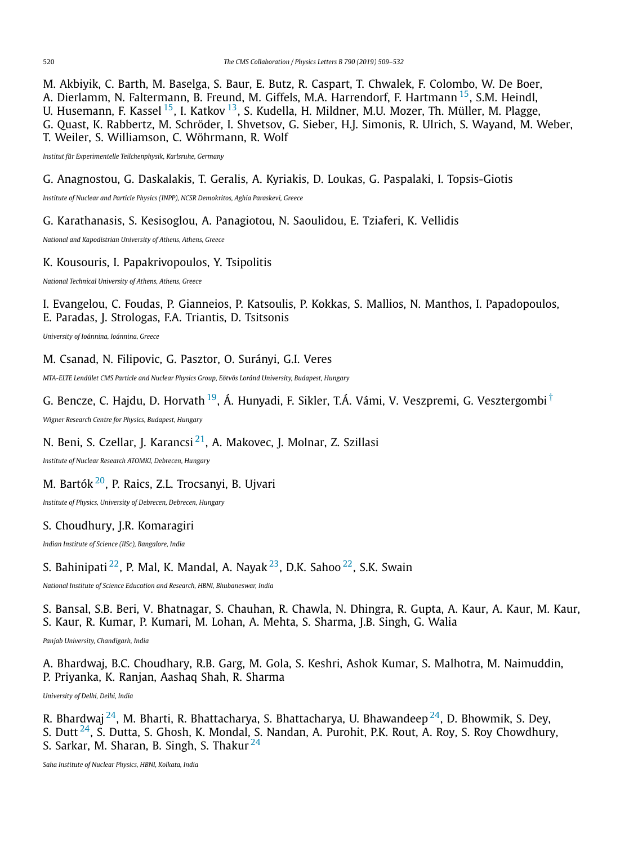M. Akbiyik, C. Barth, M. Baselga, S. Baur, E. Butz, R. Caspart, T. Chwalek, F. Colombo, W. De Boer, A. Dierlamm, N. Faltermann, B. Freund, M. Giffels, M.A. Harrendorf, F. Hartmann [15,](#page-22-0) S.M. Heindl, U. Husemann, F. Kassel<sup>15</sup>, I. Katkov<sup>13</sup>, S. Kudella, H. Mildner, M.U. Mozer, Th. Müller, M. Plagge, G. Quast, K. Rabbertz, M. Schröder, I. Shvetsov, G. Sieber, H.J. Simonis, R. Ulrich, S. Wayand, M. Weber, T. Weiler, S. Williamson, C. Wöhrmann, R. Wolf

*Institut für Experimentelle Teilchenphysik, Karlsruhe, Germany*

# G. Anagnostou, G. Daskalakis, T. Geralis, A. Kyriakis, D. Loukas, G. Paspalaki, I. Topsis-Giotis

*Institute of Nuclear and Particle Physics (INPP), NCSR Demokritos, Aghia Paraskevi, Greece*

# G. Karathanasis, S. Kesisoglou, A. Panagiotou, N. Saoulidou, E. Tziaferi, K. Vellidis

*National and Kapodistrian University of Athens, Athens, Greece*

### K. Kousouris, I. Papakrivopoulos, Y. Tsipolitis

*National Technical University of Athens, Athens, Greece*

# I. Evangelou, C. Foudas, P. Gianneios, P. Katsoulis, P. Kokkas, S. Mallios, N. Manthos, I. Papadopoulos, E. Paradas, J. Strologas, F.A. Triantis, D. Tsitsonis

*University of Ioánnina, Ioánnina, Greece*

# M. Csanad, N. Filipovic, G. Pasztor, O. Surányi, G.I. Veres

*MTA-ELTE Lendület CMS Particle and Nuclear Physics Group, Eötvös Loránd University, Budapest, Hungary*

# G. Bencze, C. Hajdu, D. Horvath <sup>19</sup>, Á. Hunyadi, F. Sikler, T.Á. Vámi, V. Veszpremi, G. Vesztergombi <sup>[†](#page-22-0)</sup>

*Wigner Research Centre for Physics, Budapest, Hungary*

# N. Beni, S. Czellar, J. Karancsi<sup>21</sup>, A. Makovec, J. Molnar, Z. Szillasi

*Institute of Nuclear Research ATOMKI, Debrecen, Hungary*

# M. Bartók [20,](#page-22-0) P. Raics, Z.L. Trocsanyi, B. Ujvari

*Institute of Physics, University of Debrecen, Debrecen, Hungary*

# S. Choudhury, J.R. Komaragiri

*Indian Institute of Science (IISc), Bangalore, India*

# S. Bahinipati  $^{22}$ , P. Mal, K. Mandal, A. Navak  $^{23}$ , D.K. Sahoo  $^{22}$ , S.K. Swain

*National Institute of Science Education and Research, HBNI, Bhubaneswar, India*

S. Bansal, S.B. Beri, V. Bhatnagar, S. Chauhan, R. Chawla, N. Dhingra, R. Gupta, A. Kaur, A. Kaur, M. Kaur, S. Kaur, R. Kumar, P. Kumari, M. Lohan, A. Mehta, S. Sharma, J.B. Singh, G. Walia

*Panjab University, Chandigarh, India*

A. Bhardwaj, B.C. Choudhary, R.B. Garg, M. Gola, S. Keshri, Ashok Kumar, S. Malhotra, M. Naimuddin, P. Priyanka, K. Ranjan, Aashaq Shah, R. Sharma

*University of Delhi, Delhi, India*

R. Bhardwaj  $^{24}$ , M. Bharti, R. Bhattacharya, S. Bhattacharya, U. Bhawandeep  $^{24}$ , D. Bhowmik, S. Dey, S. Dutt  $^{24}$ , S. Dutta, S. Ghosh, K. Mondal, S. Nandan, A. Purohit, P.K. Rout, A. Roy, S. Roy Chowdhury, S. Sarkar, M. Sharan, B. Singh, S. Thakur [24](#page-22-0)

*Saha Institute of Nuclear Physics, HBNI, Kolkata, India*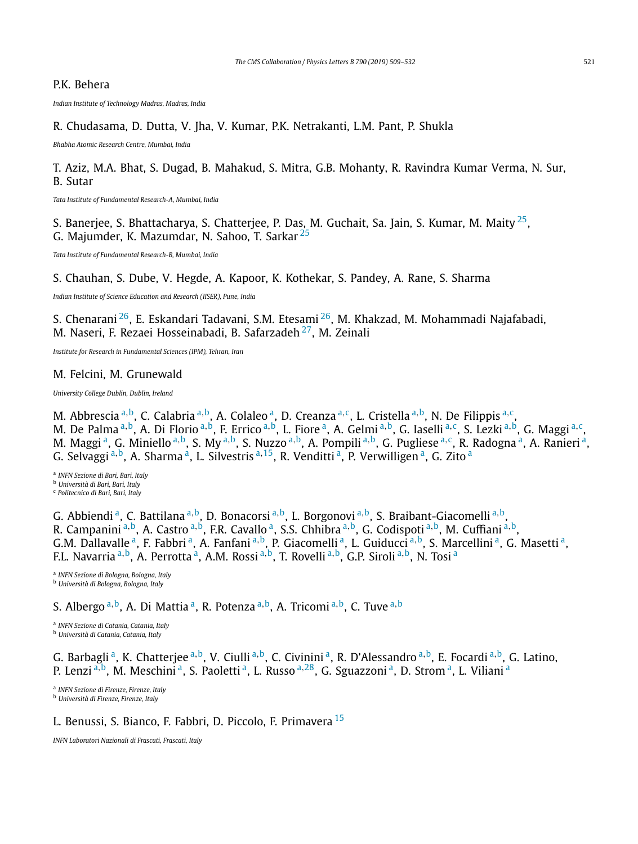# P.K. Behera

*Indian Institute of Technology Madras, Madras, India*

# R. Chudasama, D. Dutta, V. Jha, V. Kumar, P.K. Netrakanti, L.M. Pant, P. Shukla

*Bhabha Atomic Research Centre, Mumbai, India*

# T. Aziz, M.A. Bhat, S. Dugad, B. Mahakud, S. Mitra, G.B. Mohanty, R. Ravindra Kumar Verma, N. Sur, B. Sutar

*Tata Institute of Fundamental Research-A, Mumbai, India*

S. Banerjee, S. Bhattacharya, S. Chatterjee, P. Das, M. Guchait, Sa. Jain, S. Kumar, M. Maity [25,](#page-22-0) G. Majumder, K. Mazumdar, N. Sahoo, T. Sarkar [25](#page-22-0)

*Tata Institute of Fundamental Research-B, Mumbai, India*

S. Chauhan, S. Dube, V. Hegde, A. Kapoor, K. Kothekar, S. Pandey, A. Rane, S. Sharma

*Indian Institute of Science Education and Research (IISER), Pune, India*

S. Chenarani <sup>26</sup>, E. Eskandari Tadavani, S.M. Etesami <sup>26</sup>, M. Khakzad, M. Mohammadi Najafabadi, M. Naseri, F. Rezaei Hosseinabadi, B. Safarzadeh [27](#page-22-0), M. Zeinali

*Institute for Research in Fundamental Sciences (IPM), Tehran, Iran*

#### M. Felcini, M. Grunewald

*University College Dublin, Dublin, Ireland*

M. Abbrescia <sup>a</sup>*,*b, C. Calabria <sup>a</sup>*,*b, A. Colaleo a, D. Creanza <sup>a</sup>*,*c, L. Cristella <sup>a</sup>*,*b, N. De Filippis <sup>a</sup>*,*c, M. De Palma <sup>a</sup>*,*b, A. Di Florio <sup>a</sup>*,*b, F. Errico <sup>a</sup>*,*b, L. Fiore a, A. Gelmi <sup>a</sup>*,*b, G. Iaselli <sup>a</sup>*,*c, S. Lezki <sup>a</sup>*,*b, G. Maggi <sup>a</sup>*,*c, M. Maggi<sup>a</sup>, G. Miniello a,b, S. My a,b, S. Nuzzo a,b, A. Pompili a,b, G. Pugliese a,c, R. Radogna a, A. Ranieri a, G. Selvaggi <sup>a</sup>*,*b, A. Sharma a, L. Silvestris <sup>a</sup>*,*[15](#page-22-0), R. Venditti a, P. Verwilligen a, G. Zito <sup>a</sup>

<sup>a</sup> *INFN Sezione di Bari, Bari, Italy* <sup>b</sup> *Università di Bari, Bari, Italy*

<sup>c</sup> *Politecnico di Bari, Bari, Italy*

G. Abbiendi a, C. Battilana <sup>a</sup>*,*b, D. Bonacorsi <sup>a</sup>*,*b, L. Borgonovi <sup>a</sup>*,*b, S. Braibant-Giacomelli <sup>a</sup>*,*b, R. Campanini <sup>a</sup>*,*b, A. Castro <sup>a</sup>*,*b, F.R. Cavallo a, S.S. Chhibra <sup>a</sup>*,*b, G. Codispoti <sup>a</sup>*,*b, M. Cuffiani <sup>a</sup>*,*b, G.M. Dallavalle <sup>a</sup>, F. Fabbri <sup>a</sup>, A. Fanfani <sup>a,b</sup>, P. Giacomelli <sup>a</sup>, L. Guiducci <sup>a,b</sup>, S. Marcellini <sup>a</sup>, G. Masetti <sup>a</sup>, F.L. Navarria <sup>a</sup>*,*b, A. Perrotta a, A.M. Rossi <sup>a</sup>*,*b, T. Rovelli <sup>a</sup>*,*b, G.P. Siroli <sup>a</sup>*,*b, N. Tosi <sup>a</sup>

<sup>a</sup> *INFN Sezione di Bologna, Bologna, Italy*

<sup>b</sup> *Università di Bologna, Bologna, Italy*

# S. Albergo <sup>a</sup>*,*b, A. Di Mattia a, R. Potenza <sup>a</sup>*,*b, A. Tricomi <sup>a</sup>*,*b, C. Tuve <sup>a</sup>*,*<sup>b</sup>

<sup>a</sup> *INFN Sezione di Catania, Catania, Italy*

<sup>b</sup> *Università di Catania, Catania, Italy*

G. Barbagli a, K. Chatterjee <sup>a</sup>*,*b, V. Ciulli <sup>a</sup>*,*b, C. Civinini a, R. D'Alessandro <sup>a</sup>*,*b, E. Focardi <sup>a</sup>*,*b, G. Latino, P. Lenzi <sup>a</sup>*,*b, M. Meschini a, S. Paoletti a, L. Russo <sup>a</sup>*,*[28,](#page-22-0) G. Sguazzoni a, D. Strom a, L. Viliani <sup>a</sup>

<sup>a</sup> *INFN Sezione di Firenze, Firenze, Italy* <sup>b</sup> *Università di Firenze, Firenze, Italy*

# L. Benussi, S. Bianco, F. Fabbri, D. Piccolo, F. Primavera [15](#page-22-0)

*INFN Laboratori Nazionali di Frascati, Frascati, Italy*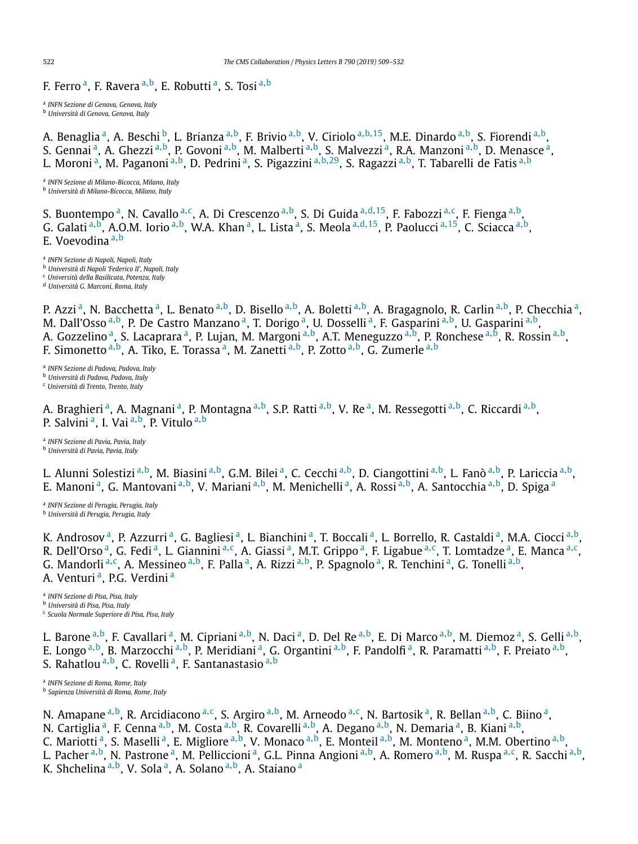# F. Ferro a, F. Ravera <sup>a</sup>*,*b, E. Robutti a, S. Tosi <sup>a</sup>*,*<sup>b</sup>

<sup>a</sup> *INFN Sezione di Genova, Genova, Italy* <sup>b</sup> *Università di Genova, Genova, Italy*

A. Benaglia a, A. Beschi b, L. Brianza <sup>a</sup>*,*b, F. Brivio <sup>a</sup>*,*b, V. Ciriolo <sup>a</sup>*,*b*,*[15,](#page-22-0) M.E. Dinardo <sup>a</sup>*,*b, S. Fiorendi <sup>a</sup>*,*b, S. Gennai a, A. Ghezzi <sup>a</sup>*,*b, P. Govoni <sup>a</sup>*,*b, M. Malberti <sup>a</sup>*,*b, S. Malvezzi a, R.A. Manzoni <sup>a</sup>*,*b, D. Menasce a, L. Moroni a, M. Paganoni <sup>a</sup>*,*b, D. Pedrini a, S. Pigazzini <sup>a</sup>*,*b*,*[29,](#page-22-0) S. Ragazzi <sup>a</sup>*,*b, T. Tabarelli de Fatis <sup>a</sup>*,*<sup>b</sup>

<sup>a</sup> *INFN Sezione di Milano-Bicocca, Milano, Italy* <sup>b</sup> *Università di Milano-Bicocca, Milano, Italy*

S. Buontempo a, N. Cavallo <sup>a</sup>*,*c, A. Di Crescenzo <sup>a</sup>*,*b, S. Di Guida <sup>a</sup>*,*d*,*[15](#page-22-0), F. Fabozzi <sup>a</sup>*,*c, F. Fienga <sup>a</sup>*,*b, G. Galati <sup>a</sup>*,*b, A.O.M. Iorio <sup>a</sup>*,*b, W.A. Khan a, L. Lista a, S. Meola <sup>a</sup>*,*d*,*[15,](#page-22-0) P. Paolucci <sup>a</sup>*,*[15,](#page-22-0) C. Sciacca <sup>a</sup>*,*b, E. Voevodina <sup>a</sup>*,*<sup>b</sup>

<sup>a</sup> *INFN Sezione di Napoli, Napoli, Italy*

<sup>b</sup> *Università di Napoli 'Federico II', Napoli, Italy*

<sup>c</sup> *Università della Basilicata, Potenza, Italy*

<sup>d</sup> *Università G. Marconi, Roma, Italy*

P. Azzi a, N. Bacchetta a, L. Benato <sup>a</sup>*,*b, D. Bisello <sup>a</sup>*,*b, A. Boletti <sup>a</sup>*,*b, A. Bragagnolo, R. Carlin <sup>a</sup>*,*b, P. Checchia a, M. Dall'Osso <sup>a</sup>*,*b, P. De Castro Manzano a, T. Dorigo a, U. Dosselli a, F. Gasparini <sup>a</sup>*,*b, U. Gasparini <sup>a</sup>*,*b, A. Gozzelino a, S. Lacaprara a, P. Lujan, M. Margoni <sup>a</sup>*,*b, A.T. Meneguzzo <sup>a</sup>*,*b, P. Ronchese <sup>a</sup>*,*b, R. Rossin <sup>a</sup>*,*b, F. Simonetto <sup>a</sup>*,*b, A. Tiko, E. Torassa a, M. Zanetti <sup>a</sup>*,*b, P. Zotto <sup>a</sup>*,*b, G. Zumerle <sup>a</sup>*,*<sup>b</sup>

<sup>a</sup> *INFN Sezione di Padova, Padova, Italy*

<sup>b</sup> *Università di Padova, Padova, Italy*

<sup>c</sup> *Università di Trento, Trento, Italy*

A. Braghieri a, A. Magnani a, P. Montagna <sup>a</sup>*,*b, S.P. Ratti <sup>a</sup>*,*b, V. Re a, M. Ressegotti <sup>a</sup>*,*b, C. Riccardi <sup>a</sup>*,*b, P. Salvini a, I. Vai <sup>a</sup>*,*b, P. Vitulo <sup>a</sup>*,*<sup>b</sup>

<sup>a</sup> *INFN Sezione di Pavia, Pavia, Italy* <sup>b</sup> *Università di Pavia, Pavia, Italy*

L. Alunni Solestizi <sup>a</sup>*,*b, M. Biasini <sup>a</sup>*,*b, G.M. Bilei a, C. Cecchi <sup>a</sup>*,*b, D. Ciangottini <sup>a</sup>*,*b, L. Fanò <sup>a</sup>*,*b, P. Lariccia <sup>a</sup>*,*b, E. Manoni a, G. Mantovani <sup>a</sup>*,*b, V. Mariani <sup>a</sup>*,*b, M. Menichelli a, A. Rossi <sup>a</sup>*,*b, A. Santocchia <sup>a</sup>*,*b, D. Spiga <sup>a</sup>

<sup>a</sup> *INFN Sezione di Perugia, Perugia, Italy* <sup>b</sup> *Università di Perugia, Perugia, Italy*

K. Androsov<sup>a</sup>, P. Azzurri<sup>a</sup>, G. Bagliesi<sup>a</sup>, L. Bianchini<sup>a</sup>, T. Boccali<sup>a</sup>, L. Borrello, R. Castaldi<sup>a</sup>, M.A. Ciocci<sup>a,b</sup>, R. Dell'Orso a, G. Fedi a, L. Giannini <sup>a</sup>*,*c, A. Giassi a, M.T. Grippo a, F. Ligabue <sup>a</sup>*,*c, T. Lomtadze a, E. Manca <sup>a</sup>*,*c, G. Mandorli <sup>a</sup>*,*c, A. Messineo <sup>a</sup>*,*b, F. Palla a, A. Rizzi <sup>a</sup>*,*b, P. Spagnolo a, R. Tenchini a, G. Tonelli <sup>a</sup>*,*b, A. Venturi<sup>a</sup>, P.G. Verdini<sup>a</sup>

<sup>a</sup> *INFN Sezione di Pisa, Pisa, Italy*

<sup>b</sup> *Università di Pisa, Pisa, Italy*

<sup>c</sup> *Scuola Normale Superiore di Pisa, Pisa, Italy*

L. Barone a,b, F. Cavallari <sup>a</sup>, M. Cipriani <sup>a,b</sup>, N. Daci <sup>a</sup>, D. Del Re <sup>a,b</sup>, E. Di Marco <sup>a,b</sup>, M. Diemoz <sup>a</sup>, S. Gelli <sup>a,b</sup>, E. Longo <sup>a</sup>*,*b, B. Marzocchi <sup>a</sup>*,*b, P. Meridiani a, G. Organtini <sup>a</sup>*,*b, F. Pandolfi a, R. Paramatti <sup>a</sup>*,*b, F. Preiato <sup>a</sup>*,*b, S. Rahatlou <sup>a</sup>*,*b, C. Rovelli a, F. Santanastasio <sup>a</sup>*,*<sup>b</sup>

<sup>a</sup> *INFN Sezione di Roma, Rome, Italy* <sup>b</sup> *Sapienza Università di Roma, Rome, Italy*

N. Amapane <sup>a</sup>*,*[b,](#page-14-0) R. Arcidiacono <sup>a</sup>*,*[c,](#page-14-0) S. Argiro <sup>a</sup>*,*[b,](#page-14-0) M. Arneodo <sup>a</sup>*,*[c,](#page-14-0) N. Bartosik a, R. Bellan <sup>a</sup>*,*[b,](#page-14-0) C. Biino a, N. Cartiglia a, F. Cenna <sup>a</sup>*,*[b](#page-14-0), M. Costa <sup>a</sup>*,*[b](#page-14-0), R. Covarelli <sup>a</sup>*,*[b,](#page-14-0) A. Degano <sup>a</sup>*,*[b,](#page-14-0) N. Demaria a, B. Kiani <sup>a</sup>*,*[b,](#page-14-0) C. Mariotti a, S. Maselli a, E. Migliore <sup>a</sup>*,*[b,](#page-14-0) V. Monaco <sup>a</sup>*,*[b,](#page-14-0) E. Monteil <sup>a</sup>*,*[b,](#page-14-0) M. Monteno a, M.M. Obertino <sup>a</sup>*,*[b,](#page-14-0) L. Pacher <sup>a</sup>*,*[b](#page-14-0), N. Pastrone a, M. Pelliccioni a, G.L. Pinna Angioni <sup>a</sup>*,*[b,](#page-14-0) A. Romero <sup>a</sup>*,*[b,](#page-14-0) M. Ruspa <sup>a</sup>*,*[c,](#page-14-0) R. Sacchi <sup>a</sup>*,*[b,](#page-14-0) K. Shchelina <sup>a</sup>*,*[b,](#page-14-0) V. Sola a, A. Solano <sup>a</sup>*,*[b,](#page-14-0) A. Staiano <sup>a</sup>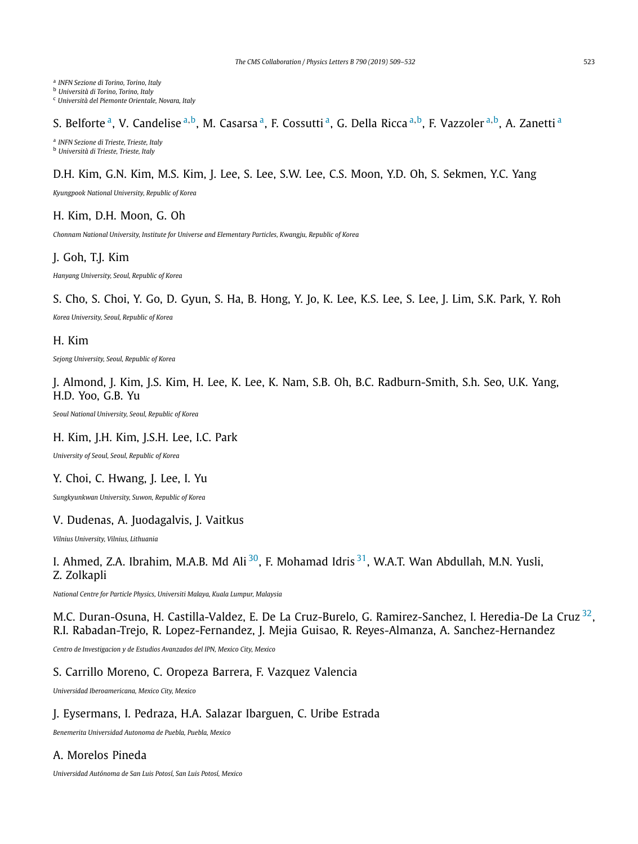<span id="page-14-0"></span><sup>a</sup> *INFN Sezione di Torino, Torino, Italy* <sup>b</sup> *Università di Torino, Torino, Italy* <sup>c</sup> *Università del Piemonte Orientale, Novara, Italy*

# S. Belforte a, V. Candelise <sup>a</sup>*,*b, M. Casarsa a, F. Cossutti a, G. Della Ricca <sup>a</sup>*,*b, F. Vazzoler <sup>a</sup>*,*b, A. Zanetti <sup>a</sup>

<sup>a</sup> *INFN Sezione di Trieste, Trieste, Italy* <sup>b</sup> *Università di Trieste, Trieste, Italy*

# D.H. Kim, G.N. Kim, M.S. Kim, J. Lee, S. Lee, S.W. Lee, C.S. Moon, Y.D. Oh, S. Sekmen, Y.C. Yang

*Kyungpook National University, Republic of Korea*

H. Kim, D.H. Moon, G. Oh

*Chonnam National University, Institute for Universe and Elementary Particles, Kwangju, Republic of Korea*

# J. Goh, T.J. Kim

*Hanyang University, Seoul, Republic of Korea*

S. Cho, S. Choi, Y. Go, D. Gyun, S. Ha, B. Hong, Y. Jo, K. Lee, K.S. Lee, S. Lee, J. Lim, S.K. Park, Y. Roh

*Korea University, Seoul, Republic of Korea*

# H. Kim

*Sejong University, Seoul, Republic of Korea*

# J. Almond, J. Kim, J.S. Kim, H. Lee, K. Lee, K. Nam, S.B. Oh, B.C. Radburn-Smith, S.h. Seo, U.K. Yang, H.D. Yoo, G.B. Yu

*Seoul National University, Seoul, Republic of Korea*

# H. Kim, J.H. Kim, J.S.H. Lee, I.C. Park

*University of Seoul, Seoul, Republic of Korea*

### Y. Choi, C. Hwang, J. Lee, I. Yu

*Sungkyunkwan University, Suwon, Republic of Korea*

# V. Dudenas, A. Juodagalvis, J. Vaitkus

*Vilnius University, Vilnius, Lithuania*

# I. Ahmed, Z.A. Ibrahim, M.A.B. Md Ali  $30$ , F. Mohamad Idris  $31$ , W.A.T. Wan Abdullah, M.N. Yusli, Z. Zolkapli

*National Centre for Particle Physics, Universiti Malaya, Kuala Lumpur, Malaysia*

M.C. Duran-Osuna, H. Castilla-Valdez, E. De La Cruz-Burelo, G. Ramirez-Sanchez, I. Heredia-De La Cruz<sup>32</sup>, R.I. Rabadan-Trejo, R. Lopez-Fernandez, J. Mejia Guisao, R. Reyes-Almanza, A. Sanchez-Hernandez

*Centro de Investigacion y de Estudios Avanzados del IPN, Mexico City, Mexico*

# S. Carrillo Moreno, C. Oropeza Barrera, F. Vazquez Valencia

*Universidad Iberoamericana, Mexico City, Mexico*

# J. Eysermans, I. Pedraza, H.A. Salazar Ibarguen, C. Uribe Estrada

*Benemerita Universidad Autonoma de Puebla, Puebla, Mexico*

# A. Morelos Pineda

*Universidad Autónoma de San Luis Potosí, San Luis Potosí, Mexico*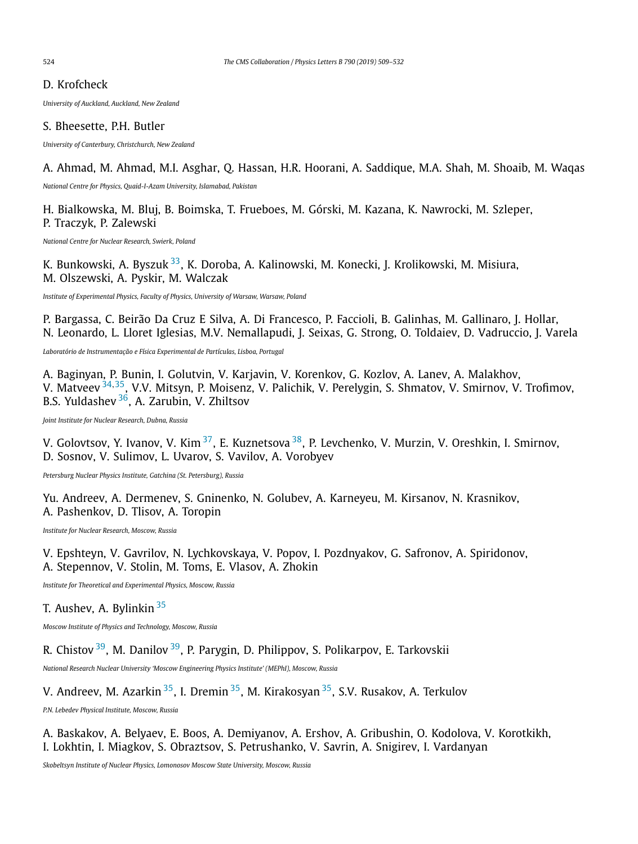### D. Krofcheck

*University of Auckland, Auckland, New Zealand*

#### S. Bheesette, P.H. Butler

*University of Canterbury, Christchurch, New Zealand*

# A. Ahmad, M. Ahmad, M.I. Asghar, Q. Hassan, H.R. Hoorani, A. Saddique, M.A. Shah, M. Shoaib, M. Waqas

*National Centre for Physics, Quaid-I-Azam University, Islamabad, Pakistan*

H. Bialkowska, M. Bluj, B. Boimska, T. Frueboes, M. Górski, M. Kazana, K. Nawrocki, M. Szleper, P. Traczyk, P. Zalewski

*National Centre for Nuclear Research, Swierk, Poland*

K. Bunkowski, A. Byszuk [33](#page-22-0), K. Doroba, A. Kalinowski, M. Konecki, J. Krolikowski, M. Misiura, M. Olszewski, A. Pyskir, M. Walczak

*Institute of Experimental Physics, Faculty of Physics, University of Warsaw, Warsaw, Poland*

P. Bargassa, C. Beirão Da Cruz E Silva, A. Di Francesco, P. Faccioli, B. Galinhas, M. Gallinaro, J. Hollar, N. Leonardo, L. Lloret Iglesias, M.V. Nemallapudi, J. Seixas, G. Strong, O. Toldaiev, D. Vadruccio, J. Varela

*Laboratório de Instrumentação e Física Experimental de Partículas, Lisboa, Portugal*

A. Baginyan, P. Bunin, I. Golutvin, V. Karjavin, V. Korenkov, G. Kozlov, A. Lanev, A. Malakhov, V. Matveev [34](#page-22-0)*,*[35,](#page-22-0) V.V. Mitsyn, P. Moisenz, V. Palichik, V. Perelygin, S. Shmatov, V. Smirnov, V. Trofimov, B.S. Yuldashev <sup>36</sup>, A. Zarubin, V. Zhiltsov

*Joint Institute for Nuclear Research, Dubna, Russia*

V. Golovtsov, Y. Ivanov, V. Kim<sup>[37](#page-22-0)</sup>, E. Kuznetsova<sup>38</sup>, P. Levchenko, V. Murzin, V. Oreshkin, I. Smirnov, D. Sosnov, V. Sulimov, L. Uvarov, S. Vavilov, A. Vorobyev

*Petersburg Nuclear Physics Institute, Gatchina (St. Petersburg), Russia*

Yu. Andreev, A. Dermenev, S. Gninenko, N. Golubev, A. Karneyeu, M. Kirsanov, N. Krasnikov, A. Pashenkov, D. Tlisov, A. Toropin

*Institute for Nuclear Research, Moscow, Russia*

V. Epshteyn, V. Gavrilov, N. Lychkovskaya, V. Popov, I. Pozdnyakov, G. Safronov, A. Spiridonov, A. Stepennov, V. Stolin, M. Toms, E. Vlasov, A. Zhokin

*Institute for Theoretical and Experimental Physics, Moscow, Russia*

# T. Aushev, A. Bylinkin [35](#page-22-0)

*Moscow Institute of Physics and Technology, Moscow, Russia*

R. Chistov  $39$ , M. Danilov  $39$ , P. Parygin, D. Philippov, S. Polikarpov, E. Tarkovskii

*National Research Nuclear University 'Moscow Engineering Physics Institute' (MEPhI), Moscow, Russia*

V. Andreev, M. Azarkin [35,](#page-22-0) I. Dremin [35,](#page-22-0) M. Kirakosyan [35,](#page-22-0) S.V. Rusakov, A. Terkulov

*P.N. Lebedev Physical Institute, Moscow, Russia*

A. Baskakov, A. Belyaev, E. Boos, A. Demiyanov, A. Ershov, A. Gribushin, O. Kodolova, V. Korotkikh, I. Lokhtin, I. Miagkov, S. Obraztsov, S. Petrushanko, V. Savrin, A. Snigirev, I. Vardanyan

*Skobeltsyn Institute of Nuclear Physics, Lomonosov Moscow State University, Moscow, Russia*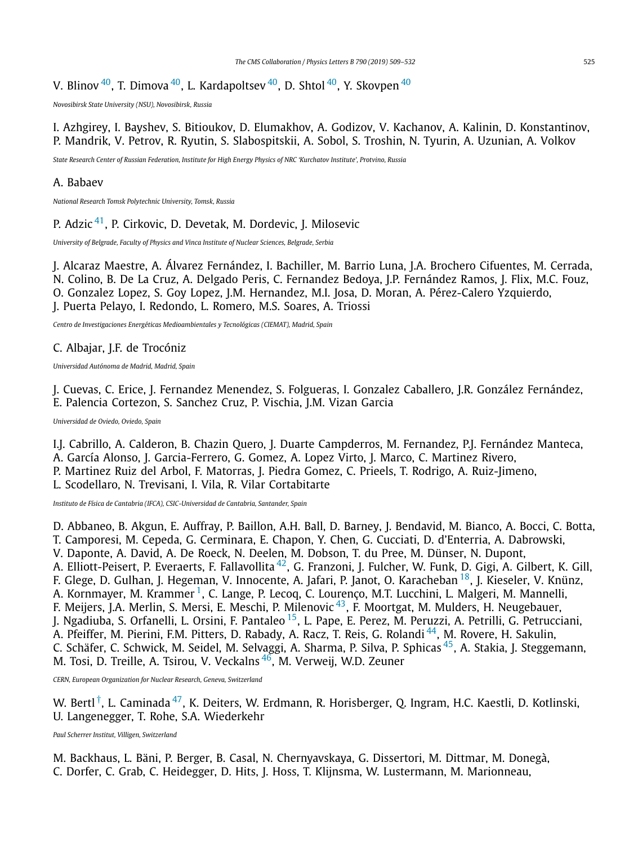# V. Blinov  $40$ , T. Dimova  $40$ , L. Kardapoltsev  $40$ , D. Shtol  $40$ , Y. Skovpen  $40$

*Novosibirsk State University (NSU), Novosibirsk, Russia*

# I. Azhgirey, I. Bayshev, S. Bitioukov, D. Elumakhov, A. Godizov, V. Kachanov, A. Kalinin, D. Konstantinov, P. Mandrik, V. Petrov, R. Ryutin, S. Slabospitskii, A. Sobol, S. Troshin, N. Tyurin, A. Uzunian, A. Volkov

State Research Center of Russian Federation, Institute for High Energy Physics of NRC 'Kurchatov Institute', Protvino, Russia

### A. Babaev

*National Research Tomsk Polytechnic University, Tomsk, Russia*

# P. Adzic [41,](#page-22-0) P. Cirkovic, D. Devetak, M. Dordevic, J. Milosevic

*University of Belgrade, Faculty of Physics and Vinca Institute of Nuclear Sciences, Belgrade, Serbia*

J. Alcaraz Maestre, A. Álvarez Fernández, I. Bachiller, M. Barrio Luna, J.A. Brochero Cifuentes, M. Cerrada, N. Colino, B. De La Cruz, A. Delgado Peris, C. Fernandez Bedoya, J.P. Fernández Ramos, J. Flix, M.C. Fouz, O. Gonzalez Lopez, S. Goy Lopez, J.M. Hernandez, M.I. Josa, D. Moran, A. Pérez-Calero Yzquierdo, J. Puerta Pelayo, I. Redondo, L. Romero, M.S. Soares, A. Triossi

*Centro de Investigaciones Energéticas Medioambientales y Tecnológicas (CIEMAT), Madrid, Spain*

# C. Albajar, J.F. de Trocóniz

*Universidad Autónoma de Madrid, Madrid, Spain*

J. Cuevas, C. Erice, J. Fernandez Menendez, S. Folgueras, I. Gonzalez Caballero, J.R. González Fernández, E. Palencia Cortezon, S. Sanchez Cruz, P. Vischia, J.M. Vizan Garcia

*Universidad de Oviedo, Oviedo, Spain*

I.J. Cabrillo, A. Calderon, B. Chazin Quero, J. Duarte Campderros, M. Fernandez, P.J. Fernández Manteca, A. García Alonso, J. Garcia-Ferrero, G. Gomez, A. Lopez Virto, J. Marco, C. Martinez Rivero, P. Martinez Ruiz del Arbol, F. Matorras, J. Piedra Gomez, C. Prieels, T. Rodrigo, A. Ruiz-Jimeno, L. Scodellaro, N. Trevisani, I. Vila, R. Vilar Cortabitarte

*Instituto de Física de Cantabria (IFCA), CSIC-Universidad de Cantabria, Santander, Spain*

D. Abbaneo, B. Akgun, E. Auffray, P. Baillon, A.H. Ball, D. Barney, J. Bendavid, M. Bianco, A. Bocci, C. Botta, T. Camporesi, M. Cepeda, G. Cerminara, E. Chapon, Y. Chen, G. Cucciati, D. d'Enterria, A. Dabrowski, V. Daponte, A. David, A. De Roeck, N. Deelen, M. Dobson, T. du Pree, M. Dünser, N. Dupont, A. Elliott-Peisert, P. Everaerts, F. Fallavollita<sup>42</sup>, G. Franzoni, J. Fulcher, W. Funk, D. Gigi, A. Gilbert, K. Gill, F. Glege, D. Gulhan, J. Hegeman, V. Innocente, A. Jafari, P. Janot, O. Karacheban [18,](#page-22-0) J. Kieseler, V. Knünz, A. Kornmayer, M. Krammer<sup>1</sup>, C. Lange, P. Lecoq, C. Lourenço, M.T. Lucchini, L. Malgeri, M. Mannelli, F. Meijers, J.A. Merlin, S. Mersi, E. Meschi, P. Milenovic [43,](#page-22-0) F. Moortgat, M. Mulders, H. Neugebauer, J. Ngadiuba, S. Orfanelli, L. Orsini, F. Pantaleo [15,](#page-22-0) L. Pape, E. Perez, M. Peruzzi, A. Petrilli, G. Petrucciani, A. Pfeiffer, M. Pierini, F.M. Pitters, D. Rabady, A. Racz, T. Reis, G. Rolandi [44,](#page-22-0) M. Rovere, H. Sakulin, C. Schäfer, C. Schwick, M. Seidel, M. Selvaggi, A. Sharma, P. Silva, P. Sphicas [45,](#page-22-0) A. Stakia, J. Steggemann, M. Tosi, D. Treille, A. Tsirou, V. Veckalns<sup>46</sup>, M. Verweij, W.D. Zeuner

*CERN, European Organization for Nuclear Research, Geneva, Switzerland*

W. Bertl<sup>†</sup>, L. Caminada<sup>47</sup>, K. Deiters, W. Erdmann, R. Horisberger, Q. Ingram, H.C. Kaestli, D. Kotlinski, U. Langenegger, T. Rohe, S.A. Wiederkehr

*Paul Scherrer Institut, Villigen, Switzerland*

M. Backhaus, L. Bäni, P. Berger, B. Casal, N. Chernyavskaya, G. Dissertori, M. Dittmar, M. Donegà, C. Dorfer, C. Grab, C. Heidegger, D. Hits, J. Hoss, T. Klijnsma, W. Lustermann, M. Marionneau,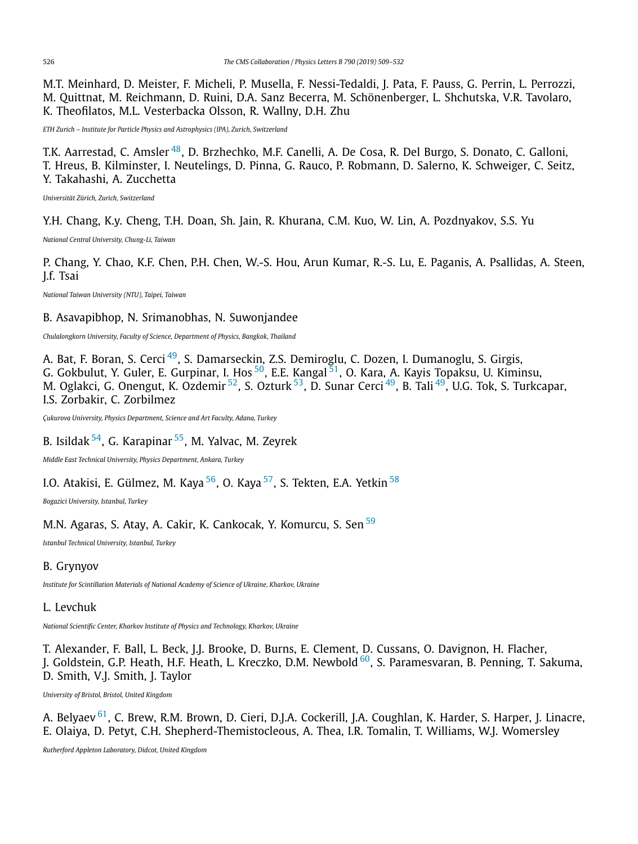M.T. Meinhard, D. Meister, F. Micheli, P. Musella, F. Nessi-Tedaldi, J. Pata, F. Pauss, G. Perrin, L. Perrozzi, M. Quittnat, M. Reichmann, D. Ruini, D.A. Sanz Becerra, M. Schönenberger, L. Shchutska, V.R. Tavolaro, K. Theofilatos, M.L. Vesterbacka Olsson, R. Wallny, D.H. Zhu

*ETH Zurich – Institute for Particle Physics and Astrophysics (IPA), Zurich, Switzerland*

T.K. Aarrestad, C. Amsler<sup>48</sup>, D. Brzhechko, M.F. Canelli, A. De Cosa, R. Del Burgo, S. Donato, C. Galloni, T. Hreus, B. Kilminster, I. Neutelings, D. Pinna, G. Rauco, P. Robmann, D. Salerno, K. Schweiger, C. Seitz, Y. Takahashi, A. Zucchetta

*Universität Zürich, Zurich, Switzerland*

Y.H. Chang, K.y. Cheng, T.H. Doan, Sh. Jain, R. Khurana, C.M. Kuo, W. Lin, A. Pozdnyakov, S.S. Yu

*National Central University, Chung-Li, Taiwan*

P. Chang, Y. Chao, K.F. Chen, P.H. Chen, W.-S. Hou, Arun Kumar, R.-S. Lu, E. Paganis, A. Psallidas, A. Steen, J.f. Tsai

*National Taiwan University (NTU), Taipei, Taiwan*

### B. Asavapibhop, N. Srimanobhas, N. Suwonjandee

*Chulalongkorn University, Faculty of Science, Department of Physics, Bangkok, Thailand*

A. Bat, F. Boran, S. Cerci [49](#page-22-0), S. Damarseckin, Z.S. Demiroglu, C. Dozen, I. Dumanoglu, S. Girgis, G. Gokbulut, Y. Guler, E. Gurpinar, I. Hos <sup>50</sup>, E.E. Kangal [51,](#page-22-0) O. Kara, A. Kayis Topaksu, U. Kiminsu, M. Oglakci, G. Onengut, K. Ozdemir [52,](#page-22-0) S. Ozturk [53,](#page-22-0) D. Sunar Cerci [49,](#page-22-0) B. Tali [49,](#page-22-0) U.G. Tok, S. Turkcapar, I.S. Zorbakir, C. Zorbilmez

*Çukurova University, Physics Department, Science and Art Faculty, Adana, Turkey*

# B. Isildak [54,](#page-22-0) G. Karapinar [55,](#page-22-0) M. Yalvac, M. Zeyrek

*Middle East Technical University, Physics Department, Ankara, Turkey*

# I.O. Atakisi, E. Gülmez, M. Kaya<sup>[56](#page-22-0)</sup>, O. Kaya<sup>57</sup>, S. Tekten, E.A. Yetkin<sup>[58](#page-22-0)</sup>

*Bogazici University, Istanbul, Turkey*

# M.N. Agaras, S. Atay, A. Cakir, K. Cankocak, Y. Komurcu, S. Sen [59](#page-22-0)

*Istanbul Technical University, Istanbul, Turkey*

### B. Grynyov

*Institute for Scintillation Materials of National Academy of Science of Ukraine, Kharkov, Ukraine*

### L. Levchuk

*National Scientific Center, Kharkov Institute of Physics and Technology, Kharkov, Ukraine*

T. Alexander, F. Ball, L. Beck, J.J. Brooke, D. Burns, E. Clement, D. Cussans, O. Davignon, H. Flacher, J. Goldstein, G.P. Heath, H.F. Heath, L. Kreczko, D.M. Newbold [60,](#page-22-0) S. Paramesvaran, B. Penning, T. Sakuma, D. Smith, V.J. Smith, J. Taylor

*University of Bristol, Bristol, United Kingdom*

A. Belyaev <sup>61</sup>, C. Brew, R.M. Brown, D. Cieri, D.J.A. Cockerill, J.A. Coughlan, K. Harder, S. Harper, J. Linacre, E. Olaiya, D. Petyt, C.H. Shepherd-Themistocleous, A. Thea, I.R. Tomalin, T. Williams, W.J. Womersley

*Rutherford Appleton Laboratory, Didcot, United Kingdom*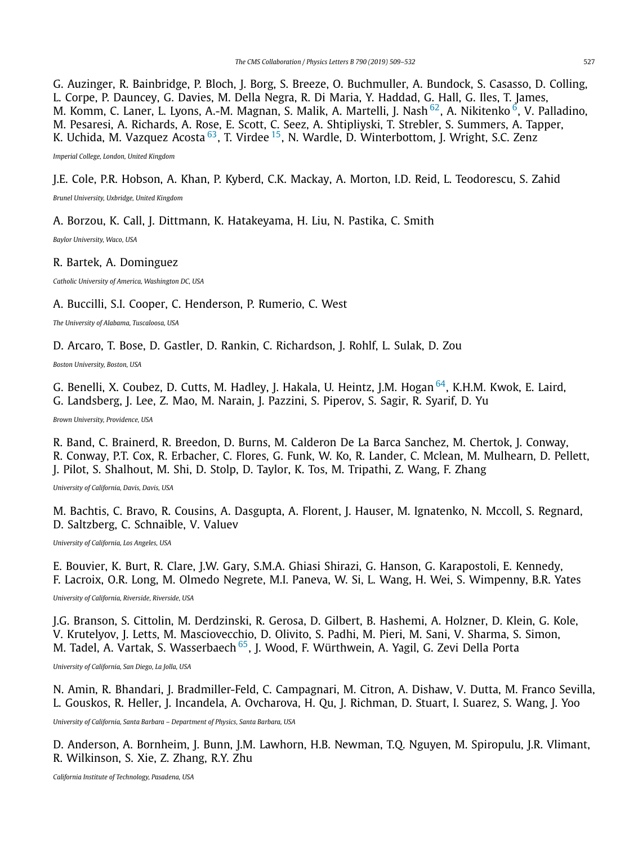G. Auzinger, R. Bainbridge, P. Bloch, J. Borg, S. Breeze, O. Buchmuller, A. Bundock, S. Casasso, D. Colling, L. Corpe, P. Dauncey, G. Davies, M. Della Negra, R. Di Maria, Y. Haddad, G. Hall, G. Iles, T. James, M. Komm, C. Laner, L. Lyons, A.-M. Magnan, S. Malik, A. Martelli, J. Nash <sup>[62](#page-23-0)</sup>, A. Nikitenko <sup>6</sup>, V. Palladino, M. Pesaresi, A. Richards, A. Rose, E. Scott, C. Seez, A. Shtipliyski, T. Strebler, S. Summers, A. Tapper, K. Uchida, M. Vazquez Acosta <sup>63</sup>, T. Virdee <sup>15</sup>, N. Wardle, D. Winterbottom, J. Wright, S.C. Zenz

*Imperial College, London, United Kingdom*

# J.E. Cole, P.R. Hobson, A. Khan, P. Kyberd, C.K. Mackay, A. Morton, I.D. Reid, L. Teodorescu, S. Zahid

*Brunel University, Uxbridge, United Kingdom*

# A. Borzou, K. Call, J. Dittmann, K. Hatakeyama, H. Liu, N. Pastika, C. Smith

*Baylor University, Waco, USA*

### R. Bartek, A. Dominguez

*Catholic University of America, Washington DC, USA*

# A. Buccilli, S.I. Cooper, C. Henderson, P. Rumerio, C. West

*The University of Alabama, Tuscaloosa, USA*

D. Arcaro, T. Bose, D. Gastler, D. Rankin, C. Richardson, J. Rohlf, L. Sulak, D. Zou

*Boston University, Boston, USA*

G. Benelli, X. Coubez, D. Cutts, M. Hadley, J. Hakala, U. Heintz, J.M. Hogan <sup>64</sup>, K.H.M. Kwok, E. Laird, G. Landsberg, J. Lee, Z. Mao, M. Narain, J. Pazzini, S. Piperov, S. Sagir, R. Syarif, D. Yu

*Brown University, Providence, USA*

R. Band, C. Brainerd, R. Breedon, D. Burns, M. Calderon De La Barca Sanchez, M. Chertok, J. Conway, R. Conway, P.T. Cox, R. Erbacher, C. Flores, G. Funk, W. Ko, R. Lander, C. Mclean, M. Mulhearn, D. Pellett, J. Pilot, S. Shalhout, M. Shi, D. Stolp, D. Taylor, K. Tos, M. Tripathi, Z. Wang, F. Zhang

*University of California, Davis, Davis, USA*

M. Bachtis, C. Bravo, R. Cousins, A. Dasgupta, A. Florent, J. Hauser, M. Ignatenko, N. Mccoll, S. Regnard, D. Saltzberg, C. Schnaible, V. Valuev

*University of California, Los Angeles, USA*

E. Bouvier, K. Burt, R. Clare, J.W. Gary, S.M.A. Ghiasi Shirazi, G. Hanson, G. Karapostoli, E. Kennedy, F. Lacroix, O.R. Long, M. Olmedo Negrete, M.I. Paneva, W. Si, L. Wang, H. Wei, S. Wimpenny, B.R. Yates

*University of California, Riverside, Riverside, USA*

J.G. Branson, S. Cittolin, M. Derdzinski, R. Gerosa, D. Gilbert, B. Hashemi, A. Holzner, D. Klein, G. Kole, V. Krutelyov, J. Letts, M. Masciovecchio, D. Olivito, S. Padhi, M. Pieri, M. Sani, V. Sharma, S. Simon, M. Tadel, A. Vartak, S. Wasserbaech <sup>[65](#page-23-0)</sup>, J. Wood, F. Würthwein, A. Yagil, G. Zevi Della Porta

*University of California, San Diego, La Jolla, USA*

N. Amin, R. Bhandari, J. Bradmiller-Feld, C. Campagnari, M. Citron, A. Dishaw, V. Dutta, M. Franco Sevilla, L. Gouskos, R. Heller, J. Incandela, A. Ovcharova, H. Qu, J. Richman, D. Stuart, I. Suarez, S. Wang, J. Yoo

*University of California, Santa Barbara – Department of Physics, Santa Barbara, USA*

D. Anderson, A. Bornheim, J. Bunn, J.M. Lawhorn, H.B. Newman, T.Q. Nguyen, M. Spiropulu, J.R. Vlimant, R. Wilkinson, S. Xie, Z. Zhang, R.Y. Zhu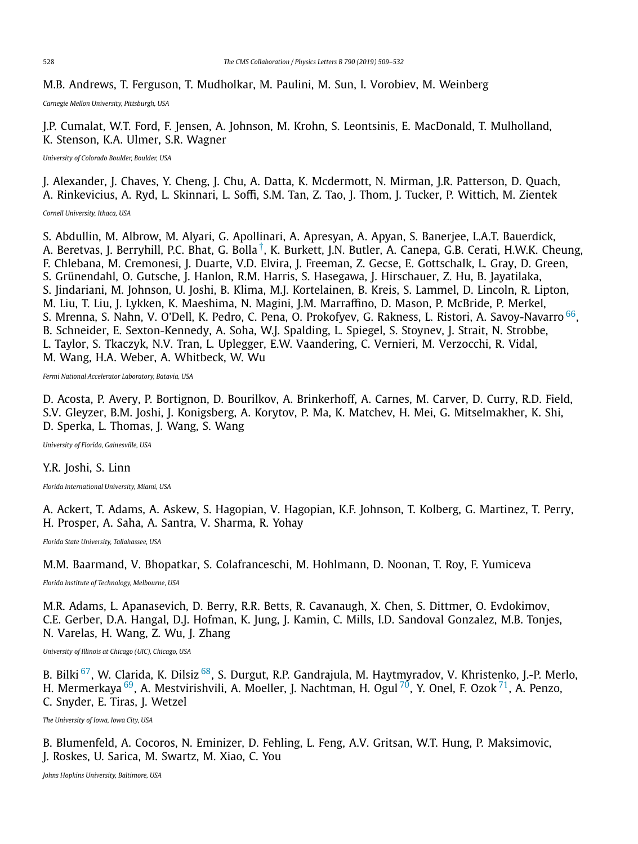# M.B. Andrews, T. Ferguson, T. Mudholkar, M. Paulini, M. Sun, I. Vorobiev, M. Weinberg

*Carnegie Mellon University, Pittsburgh, USA*

J.P. Cumalat, W.T. Ford, F. Jensen, A. Johnson, M. Krohn, S. Leontsinis, E. MacDonald, T. Mulholland, K. Stenson, K.A. Ulmer, S.R. Wagner

*University of Colorado Boulder, Boulder, USA*

J. Alexander, J. Chaves, Y. Cheng, J. Chu, A. Datta, K. Mcdermott, N. Mirman, J.R. Patterson, D. Quach, A. Rinkevicius, A. Ryd, L. Skinnari, L. Soffi, S.M. Tan, Z. Tao, J. Thom, J. Tucker, P. Wittich, M. Zientek

*Cornell University, Ithaca, USA*

S. Abdullin, M. Albrow, M. Alyari, G. Apollinari, A. Apresyan, A. Apyan, S. Banerjee, L.A.T. Bauerdick, A. Beretvas, J. Berryhill, P.C. Bhat, G. Bolla<sup>†</sup>, K. Burkett, J.N. Butler, A. Canepa, G.B. Cerati, H.W.K. Cheung, F. Chlebana, M. Cremonesi, J. Duarte, V.D. Elvira, J. Freeman, Z. Gecse, E. Gottschalk, L. Gray, D. Green, S. Grünendahl, O. Gutsche, J. Hanlon, R.M. Harris, S. Hasegawa, J. Hirschauer, Z. Hu, B. Jayatilaka, S. Jindariani, M. Johnson, U. Joshi, B. Klima, M.J. Kortelainen, B. Kreis, S. Lammel, D. Lincoln, R. Lipton, M. Liu, T. Liu, J. Lykken, K. Maeshima, N. Magini, J.M. Marraffino, D. Mason, P. McBride, P. Merkel, S. Mrenna, S. Nahn, V. O'Dell, K. Pedro, C. Pena, O. Prokofyev, G. Rakness, L. Ristori, A. Savoy-Navarro <sup>66</sup>, B. Schneider, E. Sexton-Kennedy, A. Soha, W.J. Spalding, L. Spiegel, S. Stoynev, J. Strait, N. Strobbe, L. Taylor, S. Tkaczyk, N.V. Tran, L. Uplegger, E.W. Vaandering, C. Vernieri, M. Verzocchi, R. Vidal, M. Wang, H.A. Weber, A. Whitbeck, W. Wu

*Fermi National Accelerator Laboratory, Batavia, USA*

D. Acosta, P. Avery, P. Bortignon, D. Bourilkov, A. Brinkerhoff, A. Carnes, M. Carver, D. Curry, R.D. Field, S.V. Gleyzer, B.M. Joshi, J. Konigsberg, A. Korytov, P. Ma, K. Matchev, H. Mei, G. Mitselmakher, K. Shi, D. Sperka, L. Thomas, J. Wang, S. Wang

*University of Florida, Gainesville, USA*

Y.R. Joshi, S. Linn

*Florida International University, Miami, USA*

A. Ackert, T. Adams, A. Askew, S. Hagopian, V. Hagopian, K.F. Johnson, T. Kolberg, G. Martinez, T. Perry, H. Prosper, A. Saha, A. Santra, V. Sharma, R. Yohay

*Florida State University, Tallahassee, USA*

M.M. Baarmand, V. Bhopatkar, S. Colafranceschi, M. Hohlmann, D. Noonan, T. Roy, F. Yumiceva

*Florida Institute of Technology, Melbourne, USA*

M.R. Adams, L. Apanasevich, D. Berry, R.R. Betts, R. Cavanaugh, X. Chen, S. Dittmer, O. Evdokimov, C.E. Gerber, D.A. Hangal, D.J. Hofman, K. Jung, J. Kamin, C. Mills, I.D. Sandoval Gonzalez, M.B. Tonjes, N. Varelas, H. Wang, Z. Wu, J. Zhang

*University of Illinois at Chicago (UIC), Chicago, USA*

B. Bilki [67,](#page-23-0) W. Clarida, K. Dilsiz [68,](#page-23-0) S. Durgut, R.P. Gandrajula, M. Haytmyradov, V. Khristenko, J.-P. Merlo, H. Mermerkaya  $^{69}$ , A. Mestvirishvili, A. Moeller, J. Nachtman, H. Ogul  $^{70}$  $^{70}$  $^{70}$ , Y. Onel, F. Ozok  $^{71}$ , A. Penzo, C. Snyder, E. Tiras, J. Wetzel

*The University of Iowa, Iowa City, USA*

B. Blumenfeld, A. Cocoros, N. Eminizer, D. Fehling, L. Feng, A.V. Gritsan, W.T. Hung, P. Maksimovic, J. Roskes, U. Sarica, M. Swartz, M. Xiao, C. You

*Johns Hopkins University, Baltimore, USA*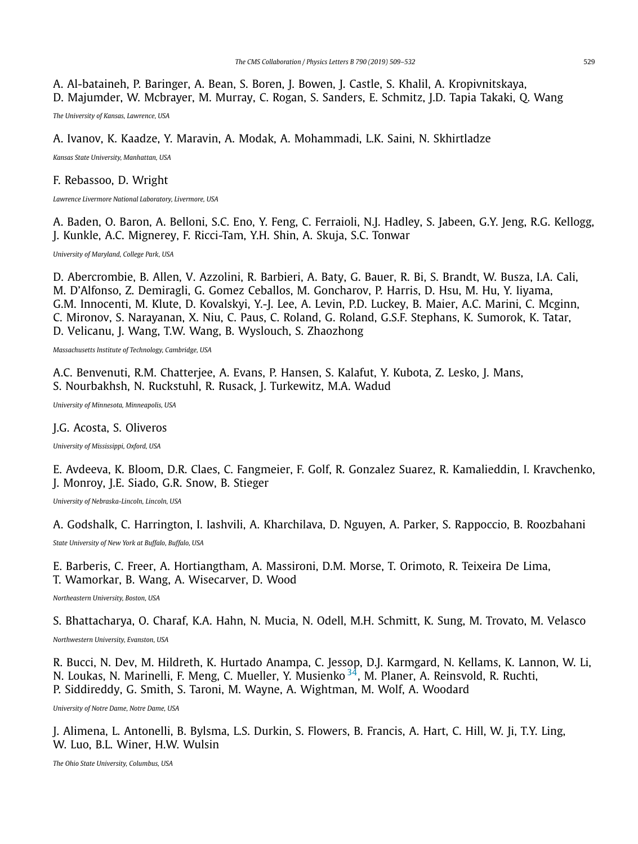A. Al-bataineh, P. Baringer, A. Bean, S. Boren, J. Bowen, J. Castle, S. Khalil, A. Kropivnitskaya, D. Majumder, W. Mcbrayer, M. Murray, C. Rogan, S. Sanders, E. Schmitz, J.D. Tapia Takaki, Q. Wang

*The University of Kansas, Lawrence, USA*

A. Ivanov, K. Kaadze, Y. Maravin, A. Modak, A. Mohammadi, L.K. Saini, N. Skhirtladze

*Kansas State University, Manhattan, USA*

F. Rebassoo, D. Wright

*Lawrence Livermore National Laboratory, Livermore, USA*

A. Baden, O. Baron, A. Belloni, S.C. Eno, Y. Feng, C. Ferraioli, N.J. Hadley, S. Jabeen, G.Y. Jeng, R.G. Kellogg, J. Kunkle, A.C. Mignerey, F. Ricci-Tam, Y.H. Shin, A. Skuja, S.C. Tonwar

*University of Maryland, College Park, USA*

D. Abercrombie, B. Allen, V. Azzolini, R. Barbieri, A. Baty, G. Bauer, R. Bi, S. Brandt, W. Busza, I.A. Cali, M. D'Alfonso, Z. Demiragli, G. Gomez Ceballos, M. Goncharov, P. Harris, D. Hsu, M. Hu, Y. Iiyama, G.M. Innocenti, M. Klute, D. Kovalskyi, Y.-J. Lee, A. Levin, P.D. Luckey, B. Maier, A.C. Marini, C. Mcginn, C. Mironov, S. Narayanan, X. Niu, C. Paus, C. Roland, G. Roland, G.S.F. Stephans, K. Sumorok, K. Tatar, D. Velicanu, J. Wang, T.W. Wang, B. Wyslouch, S. Zhaozhong

*Massachusetts Institute of Technology, Cambridge, USA*

A.C. Benvenuti, R.M. Chatterjee, A. Evans, P. Hansen, S. Kalafut, Y. Kubota, Z. Lesko, J. Mans, S. Nourbakhsh, N. Ruckstuhl, R. Rusack, J. Turkewitz, M.A. Wadud

*University of Minnesota, Minneapolis, USA*

# J.G. Acosta, S. Oliveros

*University of Mississippi, Oxford, USA*

E. Avdeeva, K. Bloom, D.R. Claes, C. Fangmeier, F. Golf, R. Gonzalez Suarez, R. Kamalieddin, I. Kravchenko, J. Monroy, J.E. Siado, G.R. Snow, B. Stieger

*University of Nebraska-Lincoln, Lincoln, USA*

A. Godshalk, C. Harrington, I. Iashvili, A. Kharchilava, D. Nguyen, A. Parker, S. Rappoccio, B. Roozbahani

*State University of New York at Buffalo, Buffalo, USA*

E. Barberis, C. Freer, A. Hortiangtham, A. Massironi, D.M. Morse, T. Orimoto, R. Teixeira De Lima, T. Wamorkar, B. Wang, A. Wisecarver, D. Wood

*Northeastern University, Boston, USA*

S. Bhattacharya, O. Charaf, K.A. Hahn, N. Mucia, N. Odell, M.H. Schmitt, K. Sung, M. Trovato, M. Velasco

*Northwestern University, Evanston, USA*

R. Bucci, N. Dev, M. Hildreth, K. Hurtado Anampa, C. Jessop, D.J. Karmgard, N. Kellams, K. Lannon, W. Li, N. Loukas, N. Marinelli, F. Meng, C. Mueller, Y. Musienko <sup>34</sup>, M. Planer, A. Reinsvold, R. Ruchti, P. Siddireddy, G. Smith, S. Taroni, M. Wayne, A. Wightman, M. Wolf, A. Woodard

*University of Notre Dame, Notre Dame, USA*

J. Alimena, L. Antonelli, B. Bylsma, L.S. Durkin, S. Flowers, B. Francis, A. Hart, C. Hill, W. Ji, T.Y. Ling, W. Luo, B.L. Winer, H.W. Wulsin

*The Ohio State University, Columbus, USA*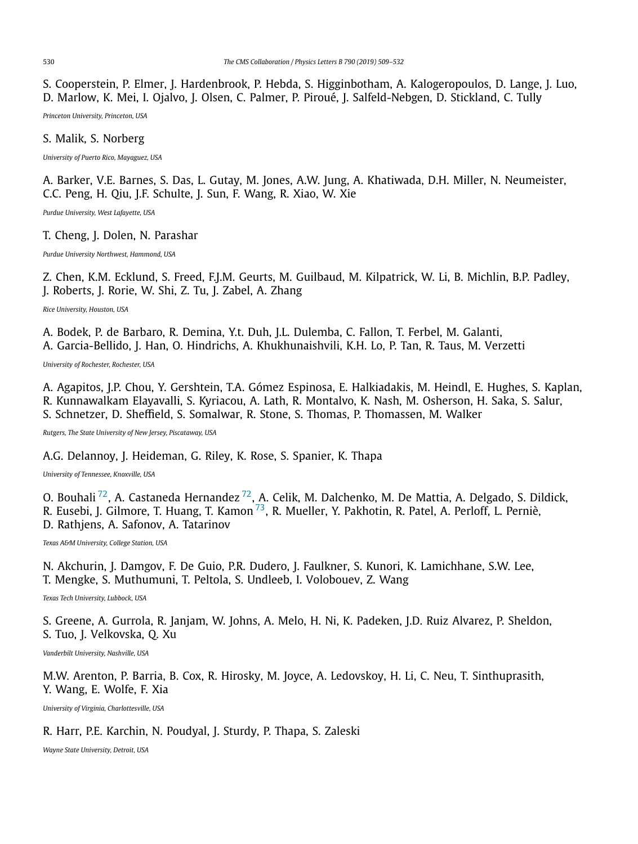S. Cooperstein, P. Elmer, J. Hardenbrook, P. Hebda, S. Higginbotham, A. Kalogeropoulos, D. Lange, J. Luo, D. Marlow, K. Mei, I. Ojalvo, J. Olsen, C. Palmer, P. Piroué, J. Salfeld-Nebgen, D. Stickland, C. Tully

*Princeton University, Princeton, USA*

### S. Malik, S. Norberg

*University of Puerto Rico, Mayaguez, USA*

A. Barker, V.E. Barnes, S. Das, L. Gutay, M. Jones, A.W. Jung, A. Khatiwada, D.H. Miller, N. Neumeister, C.C. Peng, H. Qiu, J.F. Schulte, J. Sun, F. Wang, R. Xiao, W. Xie

*Purdue University, West Lafayette, USA*

### T. Cheng, J. Dolen, N. Parashar

*Purdue University Northwest, Hammond, USA*

Z. Chen, K.M. Ecklund, S. Freed, F.J.M. Geurts, M. Guilbaud, M. Kilpatrick, W. Li, B. Michlin, B.P. Padley, J. Roberts, J. Rorie, W. Shi, Z. Tu, J. Zabel, A. Zhang

*Rice University, Houston, USA*

A. Bodek, P. de Barbaro, R. Demina, Y.t. Duh, J.L. Dulemba, C. Fallon, T. Ferbel, M. Galanti, A. Garcia-Bellido, J. Han, O. Hindrichs, A. Khukhunaishvili, K.H. Lo, P. Tan, R. Taus, M. Verzetti

*University of Rochester, Rochester, USA*

A. Agapitos, J.P. Chou, Y. Gershtein, T.A. Gómez Espinosa, E. Halkiadakis, M. Heindl, E. Hughes, S. Kaplan, R. Kunnawalkam Elayavalli, S. Kyriacou, A. Lath, R. Montalvo, K. Nash, M. Osherson, H. Saka, S. Salur, S. Schnetzer, D. Sheffield, S. Somalwar, R. Stone, S. Thomas, P. Thomassen, M. Walker

*Rutgers, The State University of New Jersey, Piscataway, USA*

A.G. Delannoy, J. Heideman, G. Riley, K. Rose, S. Spanier, K. Thapa

*University of Tennessee, Knoxville, USA*

O. Bouhali [72,](#page-23-0) A. Castaneda Hernandez [72,](#page-23-0) A. Celik, M. Dalchenko, M. De Mattia, A. Delgado, S. Dildick, R. Eusebi, J. Gilmore, T. Huang, T. Kamon [73,](#page-23-0) R. Mueller, Y. Pakhotin, R. Patel, A. Perloff, L. Perniè, D. Rathjens, A. Safonov, A. Tatarinov

*Texas A&M University, College Station, USA*

N. Akchurin, J. Damgov, F. De Guio, P.R. Dudero, J. Faulkner, S. Kunori, K. Lamichhane, S.W. Lee, T. Mengke, S. Muthumuni, T. Peltola, S. Undleeb, I. Volobouev, Z. Wang

*Texas Tech University, Lubbock, USA*

S. Greene, A. Gurrola, R. Janjam, W. Johns, A. Melo, H. Ni, K. Padeken, J.D. Ruiz Alvarez, P. Sheldon, S. Tuo, J. Velkovska, Q. Xu

*Vanderbilt University, Nashville, USA*

M.W. Arenton, P. Barria, B. Cox, R. Hirosky, M. Joyce, A. Ledovskoy, H. Li, C. Neu, T. Sinthuprasith, Y. Wang, E. Wolfe, F. Xia

*University of Virginia, Charlottesville, USA*

# R. Harr, P.E. Karchin, N. Poudyal, J. Sturdy, P. Thapa, S. Zaleski

*Wayne State University, Detroit, USA*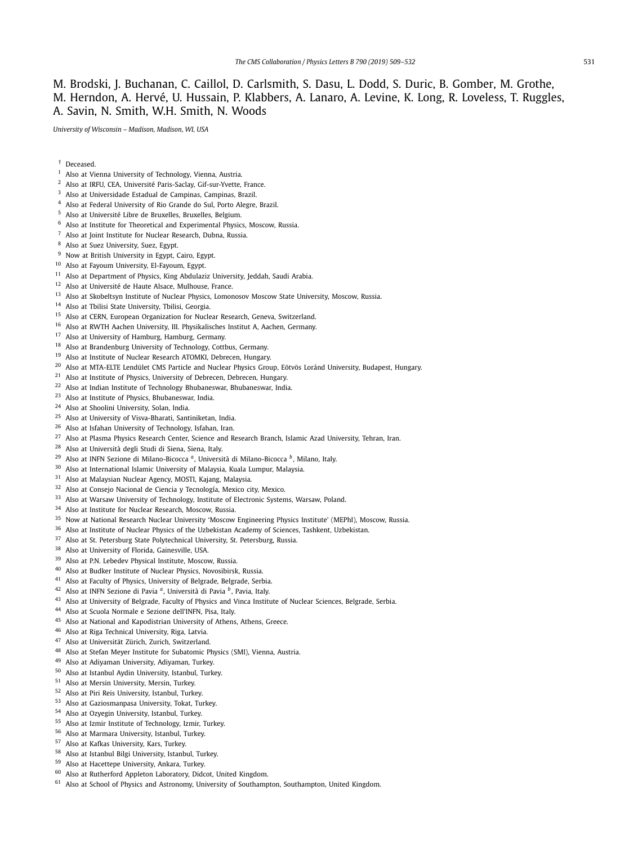# <span id="page-22-0"></span>M. Brodski, J. Buchanan, C. Caillol, D. Carlsmith, S. Dasu, L. Dodd, S. Duric, B. Gomber, M. Grothe, M. Herndon, A. Hervé, U. Hussain, P. Klabbers, A. Lanaro, A. Levine, K. Long, R. Loveless, T. Ruggles, A. Savin, N. Smith, W.H. Smith, N. Woods

*University of Wisconsin – Madison, Madison, WI, USA*

- † Deceased.
- Also at Vienna University of Technology, Vienna, Austria.
- Also at IRFU, CEA, Université Paris-Saclay, Gif-sur-Yvette, France.
- Also at Universidade Estadual de Campinas, Campinas, Brazil.
- Also at Federal University of Rio Grande do Sul, Porto Alegre, Brazil.
- Also at Université Libre de Bruxelles, Bruxelles, Belgium.
- Also at Institute for Theoretical and Experimental Physics, Moscow, Russia.
- Also at Joint Institute for Nuclear Research, Dubna, Russia.
- <sup>8</sup> Also at Suez University, Suez, Egypt.<br><sup>9</sup> Navy at Pritish University in Frunt 6
- Now at British University in Egypt, Cairo, Egypt.
- Also at Fayoum University, El-Fayoum, Egypt.
- <sup>11</sup> Also at Department of Physics, King Abdulaziz University, Jeddah, Saudi Arabia.<br><sup>12</sup> Also at Université de Haute Alsace Mulhouse Erance
- <sup>12</sup> Also at Université de Haute Alsace, Mulhouse, France.<br><sup>13</sup> Also et Slabeltaur Institute of Nuelese Physics, Lamon
- Also at Skobeltsyn Institute of Nuclear Physics, Lomonosov Moscow State University, Moscow, Russia.
- Also at Tbilisi State University, Tbilisi, Georgia.
- Also at CERN, European Organization for Nuclear Research, Geneva, Switzerland.
- Also at RWTH Aachen University, III. Physikalisches Institut A, Aachen, Germany.
- <sup>17</sup> Also at University of Hamburg, Hamburg, Germany.<br><sup>18</sup> Also at Prandephurg University of Technology, Cottl
- Also at Brandenburg University of Technology, Cottbus, Germany.
- <sup>19</sup> Also at Institute of Nuclear Research ATOMKI, Debrecen, Hungary.
- <sup>20</sup> Also at MTA-ELTE Lendület CMS Particle and Nuclear Physics Group, Eötvös Loránd University, Budapest, Hungary.
- Also at Institute of Physics, University of Debrecen, Debrecen, Hungary.
- Also at Indian Institute of Technology Bhubaneswar, Bhubaneswar, India.
- Also at Institute of Physics, Bhubaneswar, India.
- Also at Shoolini University, Solan, India.
- Also at University of Visva-Bharati, Santiniketan, India.
- Also at Isfahan University of Technology, Isfahan, Iran.
- <sup>27</sup> Also at Plasma Physics Research Center, Science and Research Branch, Islamic Azad University, Tehran, Iran.
- Also at Università degli Studi di Siena, Siena, Italy.
- Also at INFN Sezione di Milano-Bicocca *<sup>a</sup>*, Università di Milano-Bicocca *<sup>b</sup>* , Milano, Italy.
- <sup>30</sup> Also at International Islamic University of Malaysia, Kuala Lumpur, Malaysia.
- Also at Malaysian Nuclear Agency, MOSTI, Kajang, Malaysia.
- Also at Consejo Nacional de Ciencia y Tecnología, Mexico city, Mexico.
- <sup>33</sup> Also at Warsaw University of Technology, Institute of Electronic Systems, Warsaw, Poland.
- Also at Institute for Nuclear Research, Moscow, Russia.
- Now at National Research Nuclear University 'Moscow Engineering Physics Institute' (MEPhI), Moscow, Russia.
- <sup>36</sup> Also at Institute of Nuclear Physics of the Uzbekistan Academy of Sciences, Tashkent, Uzbekistan.
- <sup>37</sup> Also at St. Petersburg State Polytechnical University, St. Petersburg, Russia.
- Also at University of Florida, Gainesville, USA.
- Also at P.N. Lebedev Physical Institute, Moscow, Russia.
- Also at Budker Institute of Nuclear Physics, Novosibirsk, Russia.
- Also at Faculty of Physics, University of Belgrade, Belgrade, Serbia.
- <sup>42</sup> Also at INFN Sezione di Pavia<sup>*a*</sup>, Università di Pavia<sup>*b*</sup>, Pavia, Italy.
- 43 Also at University of Belgrade, Faculty of Physics and Vinca Institute of Nuclear Sciences, Belgrade, Serbia.
- Also at Scuola Normale e Sezione dell'INFN, Pisa, Italy.
- Also at National and Kapodistrian University of Athens, Athens, Greece.
- Also at Riga Technical University, Riga, Latvia.
- Also at Universität Zürich, Zurich, Switzerland.
- Also at Stefan Meyer Institute for Subatomic Physics (SMI), Vienna, Austria.
- Also at Adiyaman University, Adiyaman, Turkey.
- Also at Istanbul Aydin University, Istanbul, Turkey.
- Also at Mersin University, Mersin, Turkey.
- Also at Piri Reis University, Istanbul, Turkey.
- Also at Gaziosmanpasa University, Tokat, Turkey.
- Also at Ozyegin University, Istanbul, Turkey.
- Also at Izmir Institute of Technology, Izmir, Turkey.
- Also at Marmara University, Istanbul, Turkey.
- Also at Kafkas University, Kars, Turkey.
- Also at Istanbul Bilgi University, Istanbul, Turkey.
- Also at Hacettepe University, Ankara, Turkey.
- Also at Rutherford Appleton Laboratory, Didcot, United Kingdom.
- Also at School of Physics and Astronomy, University of Southampton, Southampton, United Kingdom.